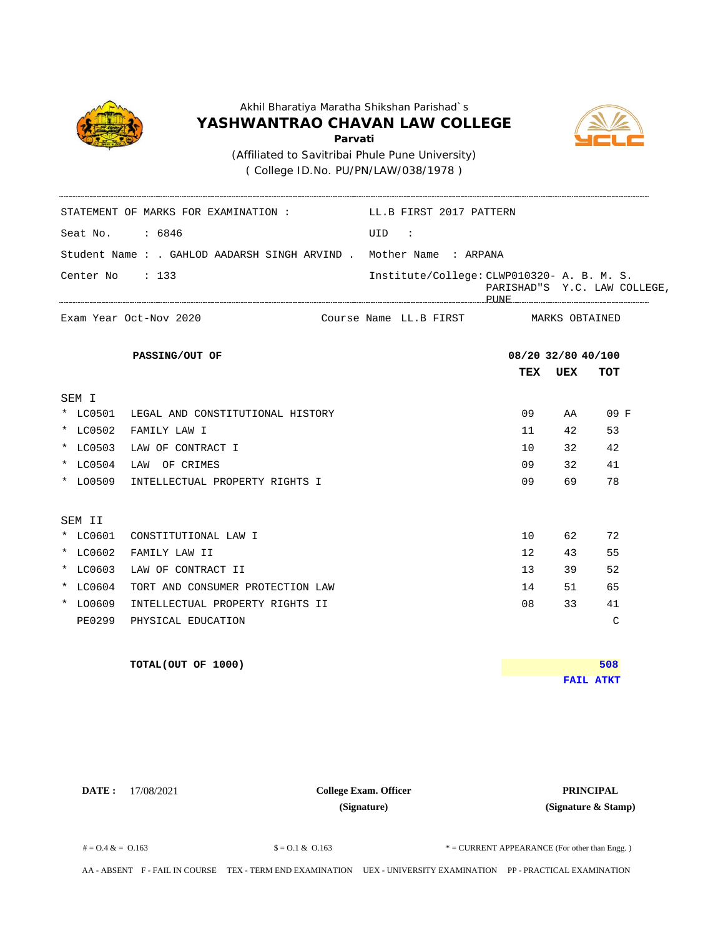

( College ID.No. PU/PN/LAW/038/1978 )

Seat No. : 6846 UID :

STATEMENT OF MARKS FOR EXAMINATION : LL.B FIRST 2017 PATTERN



Student Name : . GAHLOD AADARSH SINGH ARVIND . Mother Name : ARPANA **TEX UEX TOT** MARKS OBTAINED Center No : 133 Institute/College: CLWP010320- A. B. M. S. PARISHAD"S Y.C. LAW COLLEGE, PUNE Exam Year Oct-Nov 2020 **Exam Year Octom PASSING/OUT OF 08/20 32/80 40/100** Course Name LL.B FIRST SEM I \* LC0501 LEGAL AND CONSTITUTIONAL HISTORY 09 AA 09 F \* LC0502 FAMILY LAW I 11 42 53 \* LC0503 LAW OF CONTRACT I 10 32 42 \* LC0504 LAW OF CRIMES 09 32 41 \* LO0509 INTELLECTUAL PROPERTY RIGHTS I 09 69 78 SEM II \* LC0601 CONSTITUTIONAL LAW I 10 62 72 \* LC0602 FAMILY LAW II 12 43 55 \* LC0603 LAW OF CONTRACT II 13 39 52 \* LC0604 TORT AND CONSUMER PROTECTION LAW 14 51 65 \* LO0609 INTELLECTUAL PROPERTY RIGHTS II 08 33 41 PE0299 PHYSICAL EDUCATION C **TOTAL(OUT OF 1000) FAIL ATKT 508**

**DATE:** 17/08/2021 **PRINCIPAL College Exam. Officer PRINCIPAL College Exam. Officer (Signature)**

**(Signature & Stamp)**

 $\text{\$} = 0.1 \& 0.163$   $\text{\$} = 0.1 \& 0.163$   $\text{\$} = \text{CURENT} \text{ APPROE (For other than Eng.)}$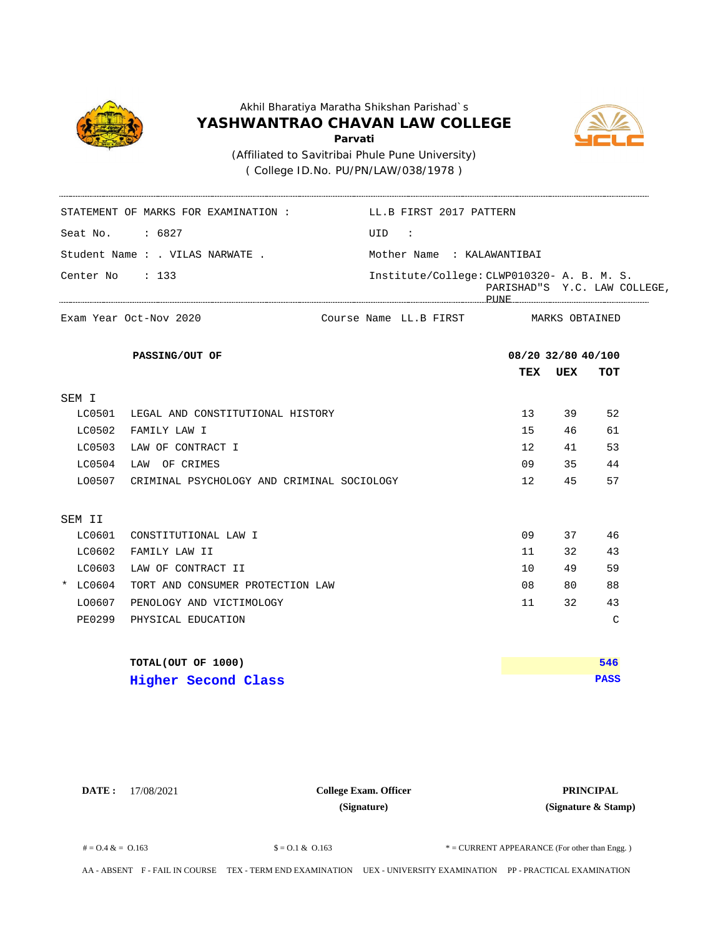

## Akhil Bharatiya Maratha Shikshan Parishad`s **YASHWANTRAO CHAVAN LAW COLLEGE Parvati** ( College ID.No. PU/PN/LAW/038/1978 ) (Affiliated to Savitribai Phule Pune University)



|                 | STATEMENT OF MARKS FOR EXAMINATION :       | LL.B FIRST 2017 PATTERN                     |      |         |                              |  |
|-----------------|--------------------------------------------|---------------------------------------------|------|---------|------------------------------|--|
| Seat No. : 6827 |                                            | UID :                                       |      |         |                              |  |
|                 | Student Name : . VILAS NARWATE .           | Mother Name : KALAWANTIBAI                  |      |         |                              |  |
| Center No : 133 |                                            | Institute/College: CLWP010320- A. B. M. S.  |      |         | PARISHAD"S Y.C. LAW COLLEGE, |  |
|                 | Exam Year Oct-Nov 2020                     | Course Name LL.B FIRST       MARKS OBTAINED |      |         |                              |  |
|                 | PASSING/OUT OF                             |                                             |      |         | 08/20 32/80 40/100           |  |
|                 |                                            |                                             |      | TEX UEX | TOT                          |  |
| SEM I           |                                            |                                             |      |         |                              |  |
|                 | LC0501 LEGAL AND CONSTITUTIONAL HISTORY    |                                             | 13   |         | 39<br>52                     |  |
| LC0502          | FAMILY LAW I                               |                                             | 15   |         | 46<br>61                     |  |
|                 | LC0503 LAW OF CONTRACT I                   |                                             | 12   |         | 53<br>41                     |  |
| LC0504          | LAW OF CRIMES                              |                                             | 09   |         | 35<br>44                     |  |
| L00507          | CRIMINAL PSYCHOLOGY AND CRIMINAL SOCIOLOGY |                                             | 12   | 45      | 57                           |  |
| SEM II          |                                            |                                             |      |         |                              |  |
| LC0601          | CONSTITUTIONAL LAW I                       |                                             | 09   |         | 37<br>46                     |  |
| LC0602          | FAMILY LAW II                              |                                             | 11   | 32      | 43                           |  |
| LC0603          | LAW OF CONTRACT II                         |                                             | 10   |         | 49<br>59                     |  |
| $*$ LC0604      | TORT AND CONSUMER PROTECTION LAW           |                                             | 08   | 80      | 88                           |  |
| L00607          | PENOLOGY AND VICTIMOLOGY                   |                                             | 11 — |         | 32<br>43                     |  |
| <b>PE0299</b>   | PHYSICAL EDUCATION                         |                                             |      |         | $\mathsf C$                  |  |
|                 | TOTAL(OUT OF 1000)                         |                                             |      |         | 546                          |  |
|                 | <b>Higher Second Class</b>                 |                                             |      |         | <b>PASS</b>                  |  |

**DATE :** 17/08/2021 **PRINCIPAL College Exam. Officer (Signature)**

**(Signature & Stamp)**

 $\text{\$} = 0.1 \& 0.163$   $\text{\$} = 0.1 \& 0.163$   $\text{\$} = \text{CURENT}$  APPEARANCE (For other than Engg.)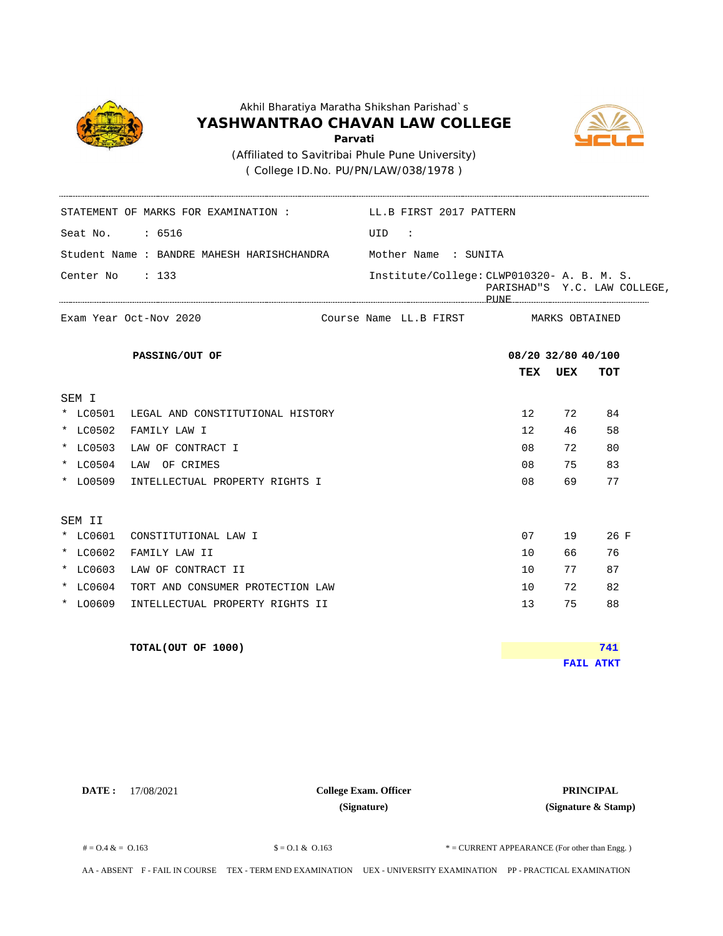

( College ID.No. PU/PN/LAW/038/1978 )

STATEMENT OF MARKS FOR EXAMINATION : LL.B FIRST 2017 PATTERN



Seat No. : 6516 UID : Student Name : BANDRE MAHESH HARISHCHANDRA **TEX UEX TOT** MARKS OBTAINED Center No : 133 Institute/College: CLWP010320- A. B. M. S. PARISHAD"S Y.C. LAW COLLEGE, PUNE Mother Name : SUNITA Exam Year Oct-Nov 2020 **Exam Year Octom PASSING/OUT OF 08/20 32/80 40/100** Course Name LL.B FIRST SEM I \* LC0501 LEGAL AND CONSTITUTIONAL HISTORY 12 72 84 \* LC0502 FAMILY LAW I 12 46 58 \* LC0503 LAW OF CONTRACT I 08 72 80 \* LC0504 LAW OF CRIMES 08 75 83 \* LO0509 INTELLECTUAL PROPERTY RIGHTS I 08 69 77 SEM II \* LC0601 CONSTITUTIONAL LAW I 07 19 26 F \* LC0602 FAMILY LAW II 10 66 76 \* LC0603 LAW OF CONTRACT II 10 77 87 \* LC0604 TORT AND CONSUMER PROTECTION LAW 10 72 82 \* LO0609 INTELLECTUAL PROPERTY RIGHTS II 13 13 75 88 **TOTAL(OUT OF 1000) FAIL ATKT 741**

**DATE :** 17/08/2021 **PRINCIPAL College Exam. Officer (Signature)**

**(Signature & Stamp)**

 $\text{\$} = 0.1 \& 0.163$   $\text{\$} = 0.1 \& 0.163$   $\text{\$} = \text{CURENT} \text{ APPROE (For other than Eng.)}$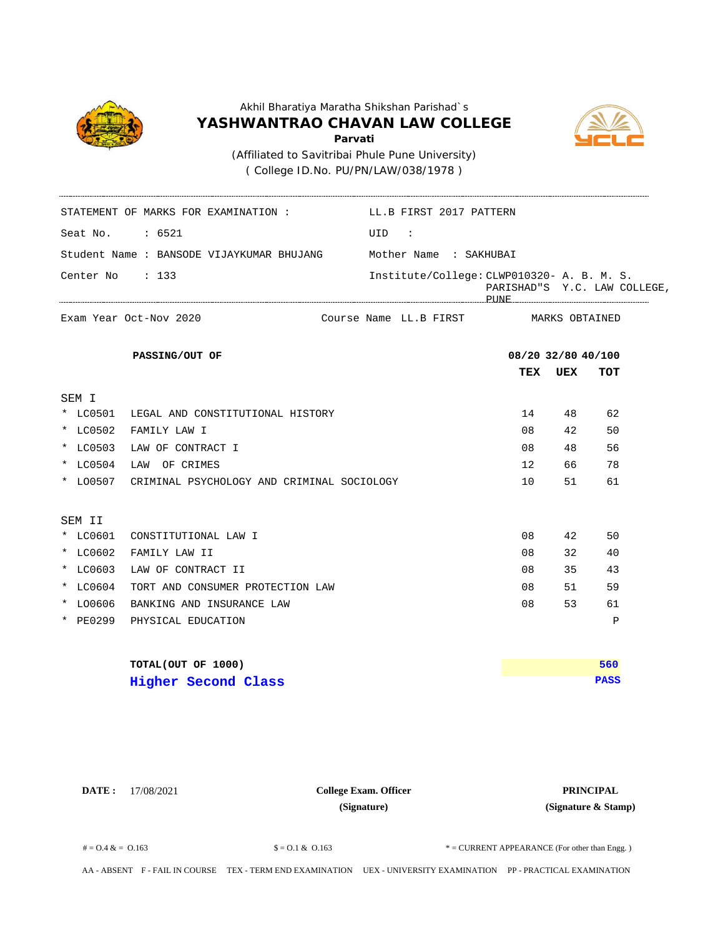



( College ID.No. PU/PN/LAW/038/1978 )

----------------------

|                 | STATEMENT OF MARKS FOR EXAMINATION: LL.B FIRST 2017 PATTERN |                                            |                    |     |                              |
|-----------------|-------------------------------------------------------------|--------------------------------------------|--------------------|-----|------------------------------|
| Seat No. : 6521 |                                                             | UID :                                      |                    |     |                              |
|                 | Student Name : BANSODE VIJAYKUMAR BHUJANG                   | Mother Name : SAKHUBAI                     |                    |     |                              |
| Center No : 133 |                                                             | Institute/College: CLWP010320- A. B. M. S. |                    |     | PARISHAD"S Y.C. LAW COLLEGE, |
|                 | Exam Year Oct-Nov 2020                                      | Course Name LL.B FIRST MARKS OBTAINED      |                    |     |                              |
|                 | PASSING/OUT OF                                              |                                            | 08/20 32/80 40/100 |     |                              |
|                 |                                                             |                                            | TEX                | UEX | TOT                          |
| SEM I           |                                                             |                                            |                    |     |                              |
|                 | * LC0501 LEGAL AND CONSTITUTIONAL HISTORY                   |                                            | 14                 | 48  | 62                           |
| * LC0502        | FAMILY LAW I                                                |                                            | 08                 | 42  | 50                           |
|                 | * LC0503 LAW OF CONTRACT I                                  |                                            | 08                 | 48  | 56                           |
| * LC0504        | LAW OF CRIMES                                               |                                            | 12 <sup>°</sup>    | 66  | 78                           |
|                 | * LO0507 CRIMINAL PSYCHOLOGY AND CRIMINAL SOCIOLOGY         |                                            | 10                 | 51  | 61                           |
| SEM II          |                                                             |                                            |                    |     |                              |
| * LC0601        | CONSTITUTIONAL LAW I                                        |                                            | 08                 | 42  | 50                           |
| * LC0602        | FAMILY LAW II                                               |                                            | 08                 | 32  | 40                           |
| * LC0603        | LAW OF CONTRACT II                                          |                                            | 08                 | 35  | 43                           |
| * LC0604        | TORT AND CONSUMER PROTECTION LAW                            |                                            | 08                 | 51  | 59                           |
| * LO0606        | BANKING AND INSURANCE LAW                                   |                                            | 08                 | 53  | 61                           |
| * PE0299        | PHYSICAL EDUCATION                                          |                                            |                    |     | $\mathbf P$                  |
|                 | TOTAL(OUT OF 1000)                                          |                                            |                    |     | 560                          |
|                 | Higher Second Class                                         |                                            |                    |     | <b>PASS</b>                  |

**DATE :** 17/08/2021 **PRINCIPAL College Exam. Officer (Signature)**

**(Signature & Stamp)**

 $\text{\$} = 0.1 \& 0.163$   $\text{\$} = 0.1 \& 0.163$   $\text{\$} = \text{CURENT}$  APPEARANCE (For other than Engg.)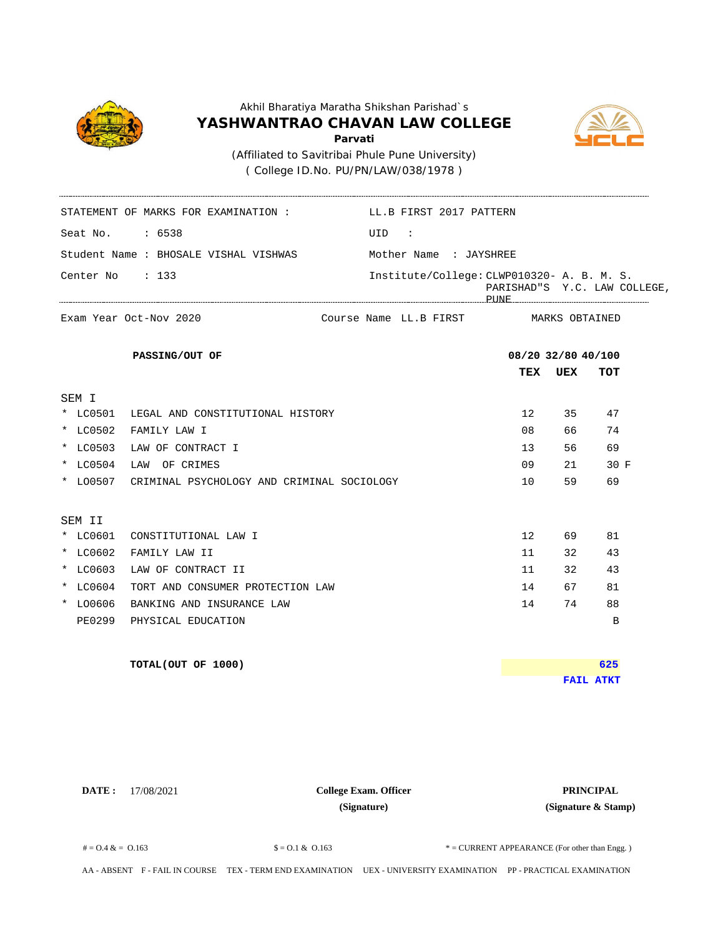

( College ID.No. PU/PN/LAW/038/1978 )

STATEMENT OF MARKS FOR EXAMINATION : LL.B FIRST 2017 PATTERN



Seat No. : 6538 UID : Student Name : BHOSALE VISHAL VISHWAS **TEX UEX TOT** MARKS OBTAINED Center No : 133 Institute/College: CLWP010320- A. B. M. S. PARISHAD"S Y.C. LAW COLLEGE, PUNE Mother Name : JAYSHREE Exam Year Oct-Nov 2020 **Exam Year Octom PASSING/OUT OF 08/20 32/80 40/100** Course Name LL.B FIRST SEM I \* LC0501 LEGAL AND CONSTITUTIONAL HISTORY 12 35 47 \* LC0502 FAMILY LAW I 08 66 74 \* LC0503 LAW OF CONTRACT I 13 56 69 \* LC0504 LAW OF CRIMES 09 21 30 F \* LO0507 CRIMINAL PSYCHOLOGY AND CRIMINAL SOCIOLOGY 10 59 69 SEM II \* LC0601 CONSTITUTIONAL LAW I 12 69 81 \* LC0602 FAMILY LAW II 11 32 43 \* LC0603 LAW OF CONTRACT II 12 32 43 \* LC0604 TORT AND CONSUMER PROTECTION LAW 14 67 81 \* LO0606 BANKING AND INSURANCE LAW 14 74 88 PE0299 PHYSICAL EDUCATION B **TOTAL(OUT OF 1000) FAIL ATKT 625**

**DATE :** 17/08/2021 **PRINCIPAL College Exam. Officer (Signature)**

**(Signature & Stamp)**

 $\text{\$} = 0.1 \& 0.163$   $\text{\$} = 0.1 \& 0.163$   $\text{\$} = \text{CURENT} \text{ APPROE (For other than Eng.)}$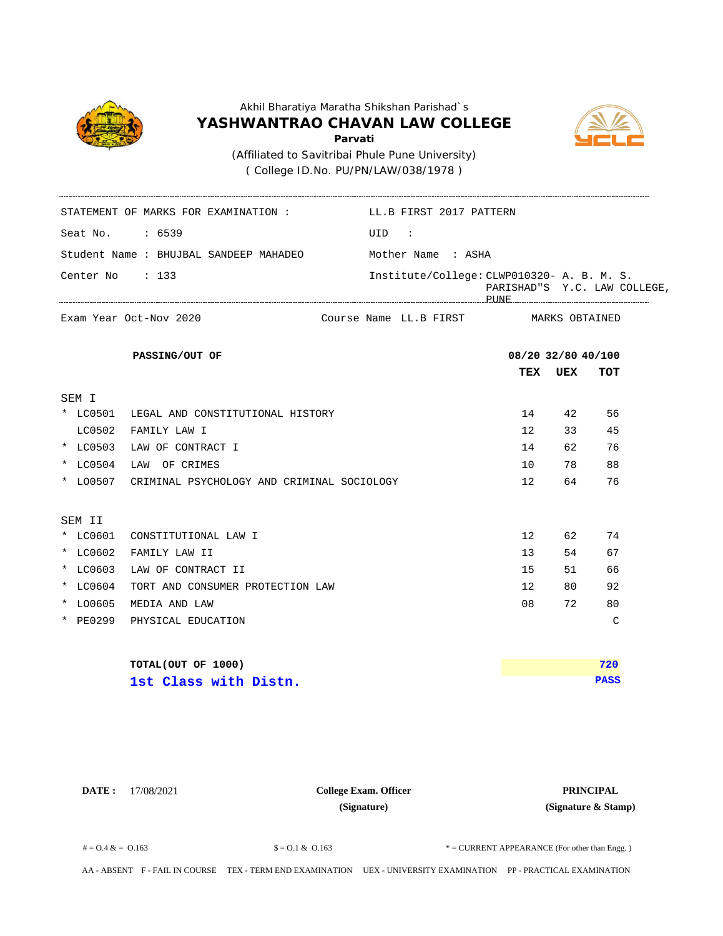

( College ID.No. PU/PN/LAW/038/1978 )

STATEMENT OF MARKS FOR EXAMINATION : LL.B FIRST 2017 PATTERN



Seat No. : 6539 UID : Student Name : BHUJBAL SANDEEP MAHADEO **TEX UEX TOT** MARKS OBTAINED Center No : 133 Institute/College: CLWP010320- A. B. M. S. PARISHAD"S Y.C. LAW COLLEGE, PUNE Mother Name : ASHA Exam Year Oct-Nov 2020 **Exam Year Octom PASSING/OUT OF 08/20 32/80 40/100** Course Name LL.B FIRST SEM I \* LC0501 LEGAL AND CONSTITUTIONAL HISTORY 14 42 56 LC0502 FAMILY LAW I 12 33 45 \* LC0503 LAW OF CONTRACT I 14 62 76 \* LC0504 LAW OF CRIMES 10 78 88 \* LO0507 CRIMINAL PSYCHOLOGY AND CRIMINAL SOCIOLOGY 12 64 76 SEM II \* LC0601 CONSTITUTIONAL LAW I 12 62 74 \* LC0602 FAMILY LAW II 13 54 67 \* LC0603 LAW OF CONTRACT II 15 51 66 \* LC0604 TORT AND CONSUMER PROTECTION LAW 12 80 92 \* LO0605 MEDIA AND LAW 08 72 80 \* PE0299 PHYSICAL EDUCATION C **TOTAL(OUT OF 1000) PASS 720 1st Class with Distn.**

**DATE :** 17/08/2021 **PRINCIPAL College Exam. Officer (Signature)**

**(Signature & Stamp)**

 $\text{\$} = 0.1 \& 0.163$   $\text{\$} = 0.1 \& 0.163$   $\text{\$} = \text{CURENT} \text{ APPROE (For other than Eng.)}$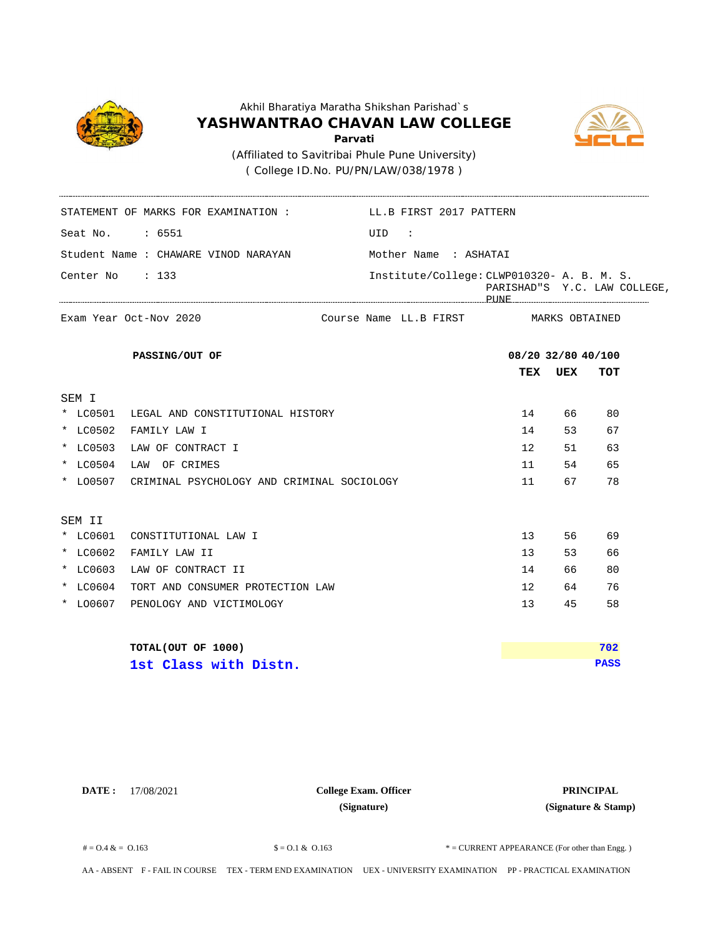

( College ID.No. PU/PN/LAW/038/1978 )

STATEMENT OF MARKS FOR EXAMINATION : LL.B FIRST 2017 PATTERN



Seat No. : 6551 UID : Student Name : CHAWARE VINOD NARAYAN **TEX UEX TOT** MARKS OBTAINED Center No : 133 Institute/College: CLWP010320- A. B. M. S. PARISHAD"S Y.C. LAW COLLEGE, PUNE Mother Name : ASHATAI Exam Year Oct-Nov 2020 **Exam Year Octom PASSING/OUT OF 08/20 32/80 40/100** Course Name LL.B FIRST SEM I \* LC0501 LEGAL AND CONSTITUTIONAL HISTORY 14 66 80 \* LC0502 FAMILY LAW I 14 53 67 \* LC0503 LAW OF CONTRACT I 12 51 63 \* LC0504 LAW OF CRIMES 11 54 65 \* LO0507 CRIMINAL PSYCHOLOGY AND CRIMINAL SOCIOLOGY 11 67 78 SEM II \* LC0601 CONSTITUTIONAL LAW I 13 56 69 \* LC0602 FAMILY LAW II 13 53 66 \* LC0603 LAW OF CONTRACT II 14 66 80 \* LC0604 TORT AND CONSUMER PROTECTION LAW 12 64 76 \* LO0607 PENOLOGY AND VICTIMOLOGY 13 45 58 **TOTAL(OUT OF 1000) PASS 702 1st Class with Distn.**

**DATE :** 17/08/2021 **PRINCIPAL College Exam. Officer (Signature)**

**(Signature & Stamp)**

 $\text{\$} = 0.1 \& 0.163$   $\text{\$} = 0.1 \& 0.163$   $\text{\$} = \text{CURENT} \text{ APPROE (For other than Eng.)}$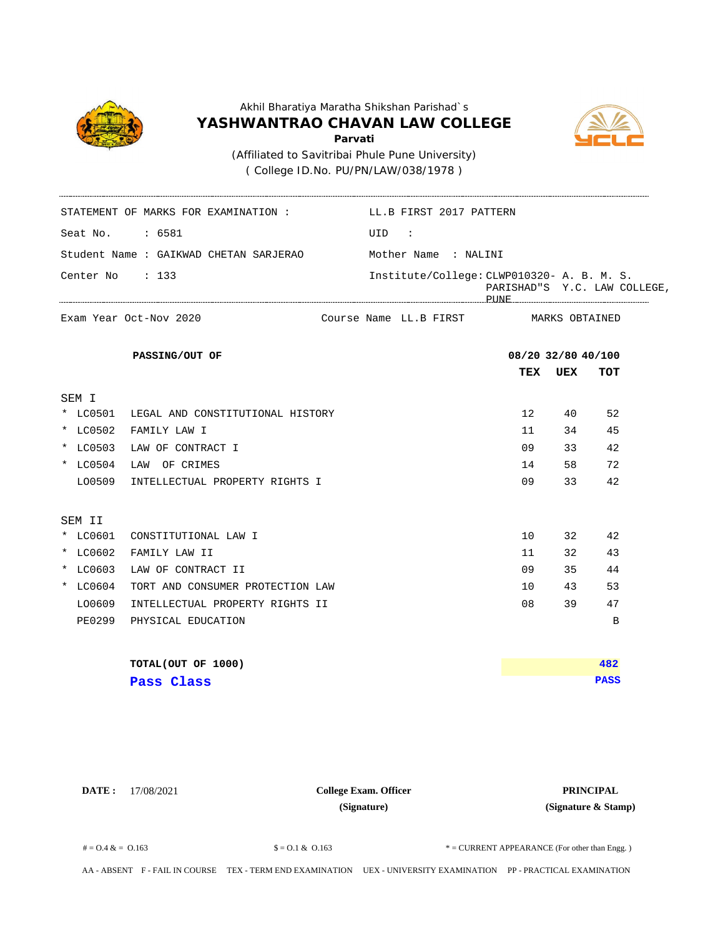

( College ID.No. PU/PN/LAW/038/1978 )

Seat No. : 6581 UID :

STATEMENT OF MARKS FOR EXAMINATION : LL.B FIRST 2017 PATTERN



Student Name : GAIKWAD CHETAN SARJERAO **TEX UEX TOT** MARKS OBTAINED Center No : 133 Institute/College: CLWP010320- A. B. M. S. PARISHAD"S Y.C. LAW COLLEGE, PUNE Mother Name : NALINI Exam Year Oct-Nov 2020 **Exam Year Octom PASSING/OUT OF 08/20 32/80 40/100** Course Name LL.B FIRST SEM I \* LC0501 LEGAL AND CONSTITUTIONAL HISTORY 12 40 52 \* LC0502 FAMILY LAW I 11 34 45 \* LC0503 LAW OF CONTRACT I 09 33 42 \* LC0504 LAW OF CRIMES 14 58 72 LO0509 INTELLECTUAL PROPERTY RIGHTS I 09 33 42 SEM II \* LC0601 CONSTITUTIONAL LAW I 10 32 42 \* LC0602 FAMILY LAW II 11 32 43 \* LC0603 LAW OF CONTRACT II 09 35 44 \* LC0604 TORT AND CONSUMER PROTECTION LAW 10 43 53 LO0609 INTELLECTUAL PROPERTY RIGHTS II 08 39 47 PE0299 PHYSICAL EDUCATION B **TOTAL(OUT OF 1000) PASS 482 Pass Class**

**DATE :** 17/08/2021 **PRINCIPAL College Exam. Officer (Signature)**

**(Signature & Stamp)**

 $\text{\$} = 0.1 \& 0.163$   $\text{\$} = 0.1 \& 0.163$   $\text{\$} = \text{CURENT} \text{ APPROE (For other than Eng.)}$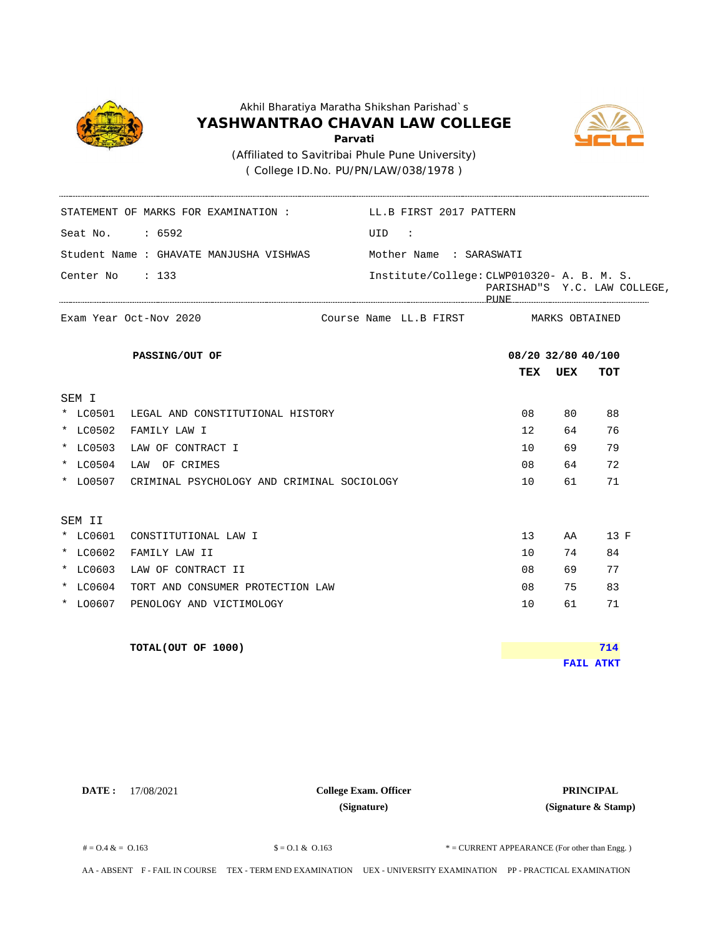

( College ID.No. PU/PN/LAW/038/1978 )

STATEMENT OF MARKS FOR EXAMINATION : LL.B FIRST 2017 PATTERN



Seat No. : 6592 UID : Student Name : GHAVATE MANJUSHA VISHWAS **TEX UEX TOT** MARKS OBTAINED Center No : 133 Institute/College: CLWP010320- A. B. M. S. PARISHAD"S Y.C. LAW COLLEGE, PUNE Mother Name : SARASWATI Exam Year Oct-Nov 2020 **Exam Year Octom PASSING/OUT OF 08/20 32/80 40/100** Course Name LL.B FIRST SEM I \* LC0501 LEGAL AND CONSTITUTIONAL HISTORY 08 80 88 \* LC0502 FAMILY LAW I 12 64 76 \* LC0503 LAW OF CONTRACT I 10 69 79 \* LC0504 LAW OF CRIMES 08 64 72 \* LO0507 CRIMINAL PSYCHOLOGY AND CRIMINAL SOCIOLOGY 10 61 71 SEM II \* LC0601 CONSTITUTIONAL LAW I 13 AA 13 F \* LC0602 FAMILY LAW II 10 74 84 \* LC0603 LAW OF CONTRACT II 08 69 77 \* LC0604 TORT AND CONSUMER PROTECTION LAW 08 75 83 \* LO0607 PENOLOGY AND VICTIMOLOGY 10 61 71 **TOTAL(OUT OF 1000) FAIL ATKT 714**

**DATE :** 17/08/2021 **PRINCIPAL College Exam. Officer (Signature)**

**(Signature & Stamp)**

 $\text{\$} = 0.1 \& 0.163$   $\text{\$} = 0.1 \& 0.163$   $\text{\$} = \text{CURENT} \text{ APPROE (For other than Eng.)}$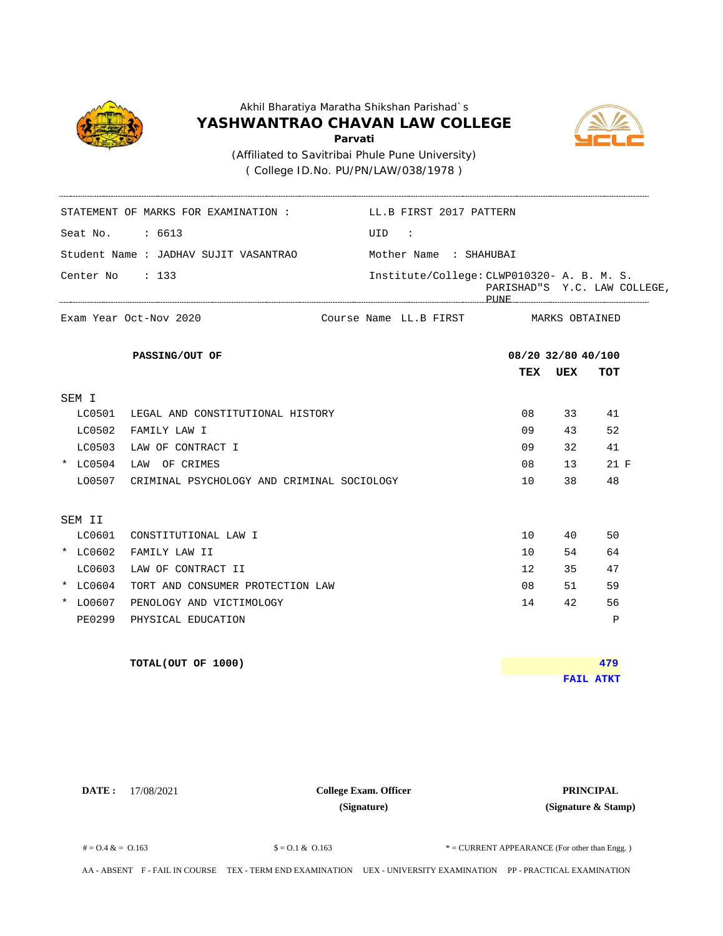

( College ID.No. PU/PN/LAW/038/1978 )

STATEMENT OF MARKS FOR EXAMINATION : LL.B FIRST 2017 PATTERN



Seat No. : 6613 UID : Student Name : JADHAV SUJIT VASANTRAO **TEX UEX TOT** MARKS OBTAINED Center No : 133 Institute/College: CLWP010320- A. B. M. S. PARISHAD"S Y.C. LAW COLLEGE, PUNE Mother Name : SHAHUBAI Exam Year Oct-Nov 2020 **Exam Year Octom PASSING/OUT OF 08/20 32/80 40/100** Course Name LL.B FIRST SEM I LC0501 LEGAL AND CONSTITUTIONAL HISTORY 08 33 41 LC0502 FAMILY LAW I 2008 13 52 LC0503 LAW OF CONTRACT I 09 32 41 \* LC0504 LAW OF CRIMES 08 13 21 F LO0507 CRIMINAL PSYCHOLOGY AND CRIMINAL SOCIOLOGY 10 38 48 SEM II  $\verb|LC0601|  COMSTITUTIONAL LAW I$  10 40 50 \* LC0602 FAMILY LAW II 10 54 64 LC0603 LAW OF CONTRACT II 12 35 47 \* LC0604 TORT AND CONSUMER PROTECTION LAW 08 51 59 \* LO0607 PENOLOGY AND VICTIMOLOGY 14 42 56 PE0299 PHYSICAL EDUCATION P **TOTAL(OUT OF 1000) FAIL ATKT 479**

**DATE :** 17/08/2021 **PRINCIPAL College Exam. Officer (Signature)**

**(Signature & Stamp)**

 $\text{\$} = 0.1 \& 0.163$   $\text{\$} = 0.1 \& 0.163$   $\text{\$} = \text{CURENT} \text{ APPROE (For other than Eng.)}$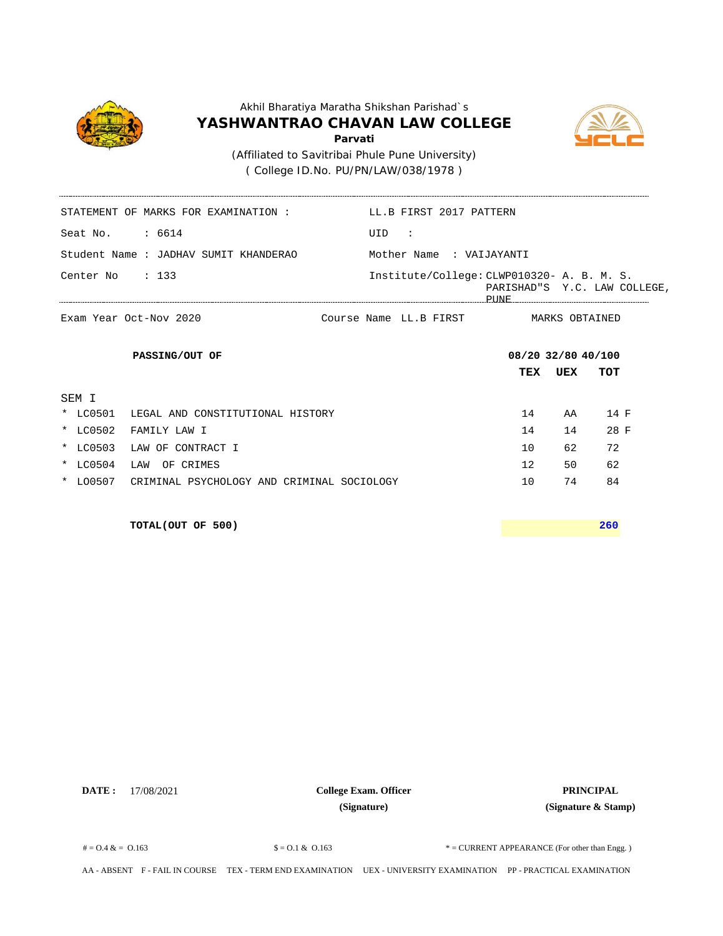

( College ID.No. PU/PN/LAW/038/1978 )



MARKS OBTAINED

STATEMENT OF MARKS FOR EXAMINATION : LL.B FIRST 2017 PATTERN Seat No. : 6614 UID : Mother Name : VAIJAYANTI Student Name : JADHAV SUMIT KHANDERAO Center No : 133 Institute/College: CLWP010320- A. B. M. S. PARISHAD"S Y.C. LAW COLLEGE, PUNE ----------

Course Name LL.B FIRST

**TEX UEX TOT PASSING/OUT OF 08/20 32/80 40/100** SEM I \* LC0501 LEGAL AND CONSTITUTIONAL HISTORY 14 AA 14 F \* LC0502 FAMILY LAW I 14 14 28 F \* LC0503 LAW OF CONTRACT I 10 62 72 \* LC0504 LAW OF CRIMES 12 50 62 \* LO0507 CRIMINAL PSYCHOLOGY AND CRIMINAL SOCIOLOGY 10 74 84

**TOTAL(OUT OF 500) 260**

Exam Year Oct-Nov 2020 **Exam Year Octom** 

**DATE :** 17/08/2021 **PRINCIPAL College Exam. Officer (Signature)**

**(Signature & Stamp)**

 $\text{\$} = 0.1 \& 0.163$   $\text{\$} = 0.1 \& 0.163$   $\text{\$} = \text{CURENT} \text{ APPROE (For other than Eng.)}$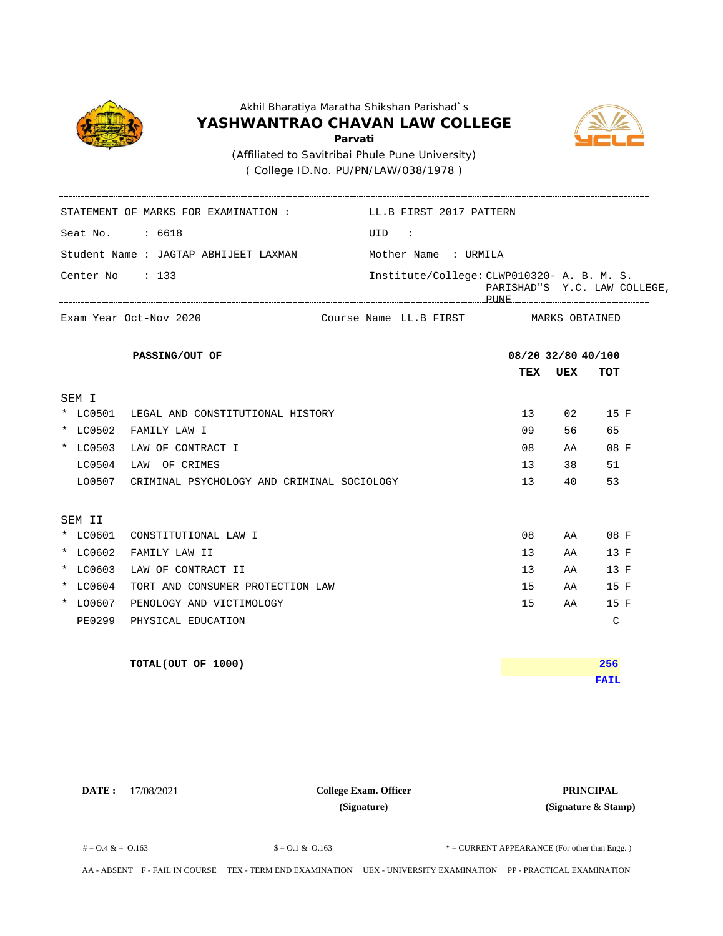

( College ID.No. PU/PN/LAW/038/1978 )

STATEMENT OF MARKS FOR EXAMINATION : LL.B FIRST 2017 PATTERN



Seat No. : 6618 UID : Student Name : JAGTAP ABHIJEET LAXMAN **TEX UEX TOT** MARKS OBTAINED Center No : 133 Institute/College: CLWP010320- A. B. M. S. PARISHAD"S Y.C. LAW COLLEGE, PUNE Mother Name : URMILA Exam Year Oct-Nov 2020 **Exam Year Octom PASSING/OUT OF 08/20 32/80 40/100** Course Name LL.B FIRST SEM I \* LC0501 LEGAL AND CONSTITUTIONAL HISTORY 13 02 15 F \* LC0502 FAMILY LAW I 09 56 65 \* LC0503 LAW OF CONTRACT I 08 AA 08 F LC0504 LAW OF CRIMES 13 38 51 LO0507 CRIMINAL PSYCHOLOGY AND CRIMINAL SOCIOLOGY 13 40 53 SEM II \* LC0601 CONSTITUTIONAL LAW I 08 AA 08 F \* LC0602 FAMILY LAW II 13 AA 13 F \* LC0603 LAW OF CONTRACT II 13 AA 13 F \* LC0604 TORT AND CONSUMER PROTECTION LAW 15 AA 15 F \* LO0607 PENOLOGY AND VICTIMOLOGY 15 AA 15 F PE0299 PHYSICAL EDUCATION C **TOTAL(OUT OF 1000) FAIL 256**

**DATE :** 17/08/2021 **PRINCIPAL College Exam. Officer (Signature)**

**(Signature & Stamp)**

 $\text{\$} = 0.1 \& 0.163$   $\text{\$} = 0.1 \& 0.163$   $\text{\$} = \text{CURRENT}$  APPEARANCE (For other than Engg.)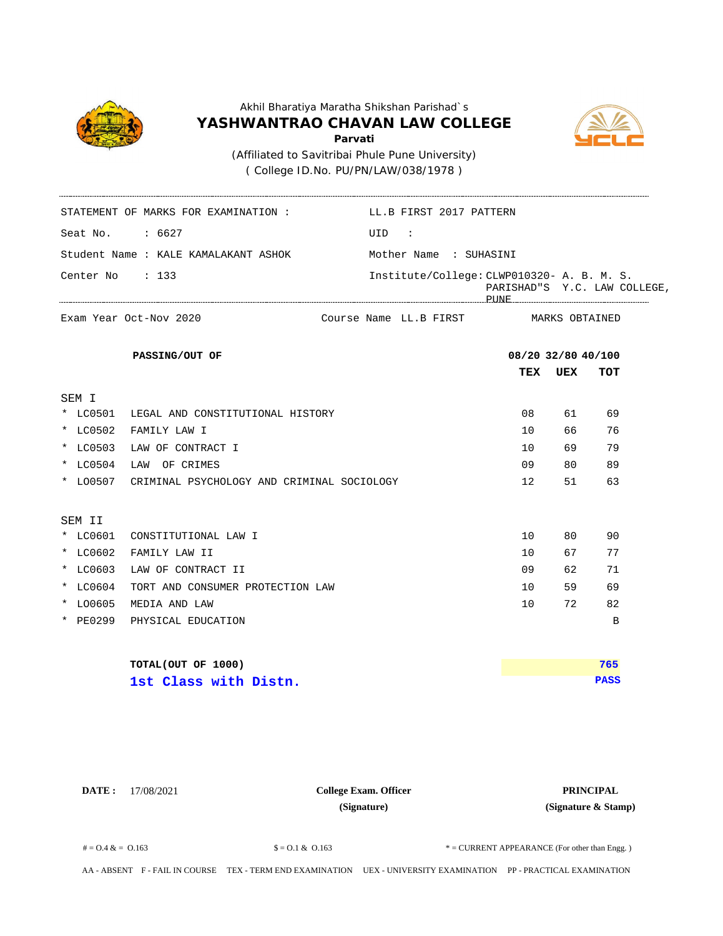

( College ID.No. PU/PN/LAW/038/1978 )

STATEMENT OF MARKS FOR EXAMINATION : LL.B FIRST 2017 PATTERN



Seat No. : 6627 UID : Student Name : KALE KAMALAKANT ASHOK **TEX UEX TOT** MARKS OBTAINED Center No : 133 Institute/College: CLWP010320- A. B. M. S. PARISHAD"S Y.C. LAW COLLEGE, PUNE Mother Name : SUHASINI Exam Year Oct-Nov 2020 **Exam Year Octom PASSING/OUT OF 08/20 32/80 40/100** Course Name LL.B FIRST SEM I \* LC0501 LEGAL AND CONSTITUTIONAL HISTORY 08 61 69 \* LC0502 FAMILY LAW I 10 66 76 \* LC0503 LAW OF CONTRACT I 10 69 79 \* LC0504 LAW OF CRIMES 09 80 89 \* LO0507 CRIMINAL PSYCHOLOGY AND CRIMINAL SOCIOLOGY 12 51 63 SEM II \* LC0601 CONSTITUTIONAL LAW I 10 80 90 \* LC0602 FAMILY LAW II 10 67 77 \* LC0603 LAW OF CONTRACT II 09 62 71 \* LC0604 TORT AND CONSUMER PROTECTION LAW 10 59 69 \* LO0605 MEDIA AND LAW 10 72 82 \* PE0299 PHYSICAL EDUCATION B **TOTAL(OUT OF 1000) PASS 765 1st Class with Distn.**

**DATE :** 17/08/2021 **PRINCIPAL College Exam. Officer (Signature)**

**(Signature & Stamp)**

 $\text{\$} = 0.1 \& 0.163$   $\text{\$} = 0.1 \& 0.163$   $\text{\$} = \text{CURRENT}$  APPEARANCE (For other than Engg.)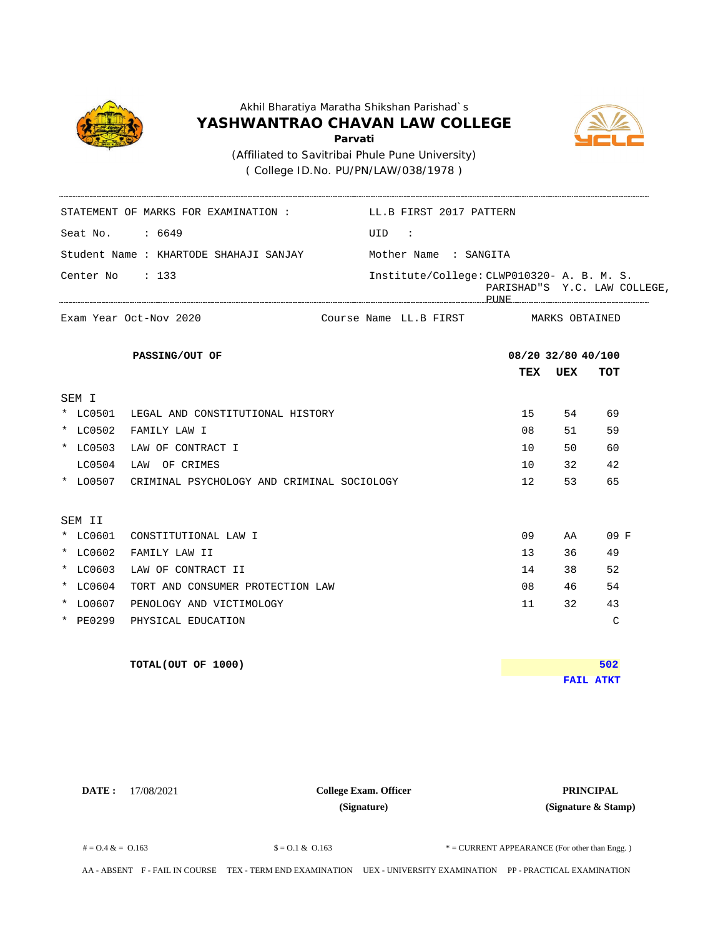

( College ID.No. PU/PN/LAW/038/1978 )

STATEMENT OF MARKS FOR EXAMINATION : LL.B FIRST 2017 PATTERN



Seat No.  $: 6649$  UID : Student Name : KHARTODE SHAHAJI SANJAY **TEX UEX TOT** MARKS OBTAINED Center No : 133 Institute/College: CLWP010320- A. B. M. S. PARISHAD"S Y.C. LAW COLLEGE, PUNE Mother Name : SANGITA Exam Year Oct-Nov 2020 **Exam Year Octom PASSING/OUT OF 08/20 32/80 40/100** Course Name LL.B FIRST SEM I \* LC0501 LEGAL AND CONSTITUTIONAL HISTORY 15 54 69 \* LC0502 FAMILY LAW I 08 51 59 \* LC0503 LAW OF CONTRACT I 10 10 50 60 LC0504 LAW OF CRIMES 10 32 42 \* LO0507 CRIMINAL PSYCHOLOGY AND CRIMINAL SOCIOLOGY 12 53 65 SEM II \* LC0601 CONSTITUTIONAL LAW I 09 AA 09 F \* LC0602 FAMILY LAW II 13 36 49 \* LC0603 LAW OF CONTRACT II 14 38 52 \* LC0604 TORT AND CONSUMER PROTECTION LAW 08 46 54 \* LO0607 PENOLOGY AND VICTIMOLOGY 11 32 43 \* PE0299 PHYSICAL EDUCATION C **TOTAL(OUT OF 1000) FAIL ATKT 502**

**DATE :** 17/08/2021 **PRINCIPAL College Exam. Officer (Signature)**

**(Signature & Stamp)**

 $\text{\$} = 0.1 \& 0.163$   $\text{\$} = 0.1 \& 0.163$   $\text{\$} = \text{CURRENT}$  APPEARANCE (For other than Engg.)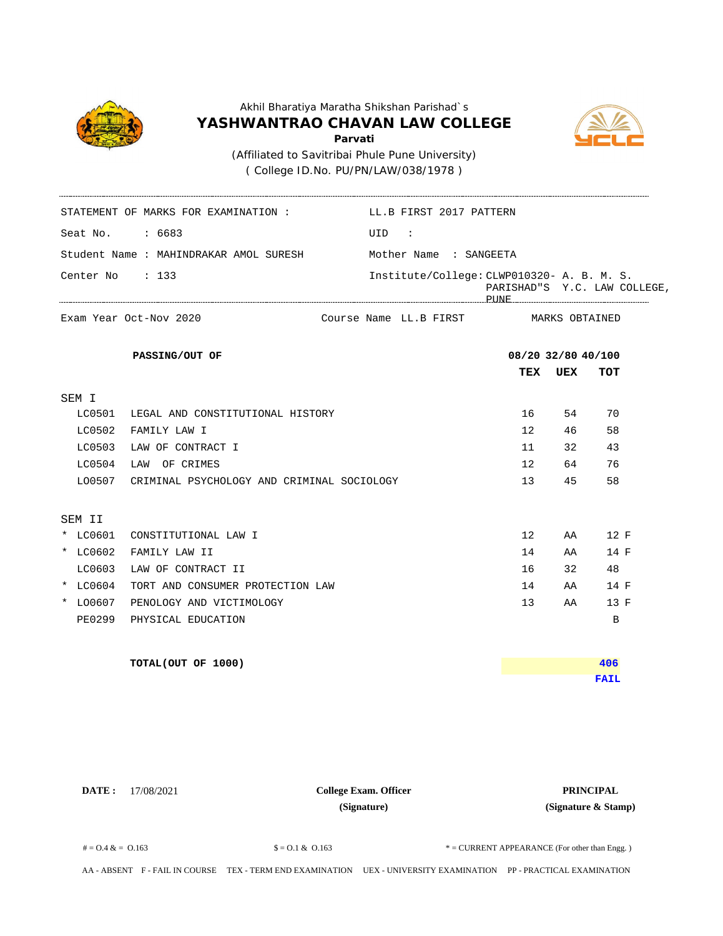

( College ID.No. PU/PN/LAW/038/1978 )

STATEMENT OF MARKS FOR EXAMINATION : LL.B FIRST 2017 PATTERN



Seat No. : 6683 UID : Student Name : MAHINDRAKAR AMOL SURESH **TEX UEX TOT** MARKS OBTAINED Center No : 133 Institute/College: CLWP010320- A. B. M. S. PARISHAD"S Y.C. LAW COLLEGE, PUNE Mother Name : SANGEETA Exam Year Oct-Nov 2020 **Exam Year Octom PASSING/OUT OF 08/20 32/80 40/100** Course Name LL.B FIRST SEM I LC0501 LEGAL AND CONSTITUTIONAL HISTORY 16 54 70 LC0502 FAMILY LAW I 12 46 58 LC0503 LAW OF CONTRACT I  $11$  32 43 LC0504 LAW OF CRIMES 12 64 76 LO0507 CRIMINAL PSYCHOLOGY AND CRIMINAL SOCIOLOGY 13 45 58 SEM II \* LC0601 CONSTITUTIONAL LAW I 12 AA 12 F \* LC0602 FAMILY LAW II 14 AA 14 F LC0603 LAW OF CONTRACT II 16 32 48 \* LC0604 TORT AND CONSUMER PROTECTION LAW 14 AA 14 F \* LO0607 PENOLOGY AND VICTIMOLOGY 13 AA 13 F PE0299 PHYSICAL EDUCATION B **TOTAL(OUT OF 1000) FAIL 406**

**DATE :** 17/08/2021 **PRINCIPAL College Exam. Officer (Signature)**

**(Signature & Stamp)**

 $\text{\$} = 0.1 \& 0.163$   $\text{\$} = 0.1 \& 0.163$   $\text{\$} = \text{CURRENT}$  APPEARANCE (For other than Engg.)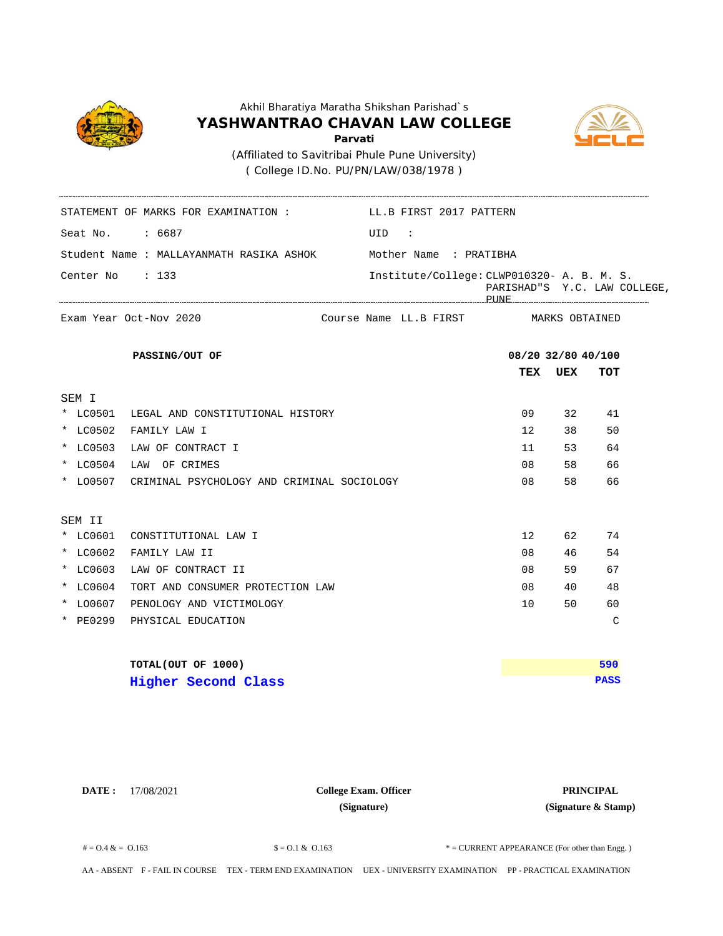

( College ID.No. PU/PN/LAW/038/1978 )

STATEMENT OF MARKS FOR EXAMINATION : LL.B FIRST 2017 PATTERN



Seat No. : 6687 UID : Student Name : MALLAYANMATH RASIKA ASHOK **TEX UEX TOT** MARKS OBTAINED Center No : 133 Institute/College: CLWP010320- A. B. M. S. PARISHAD"S Y.C. LAW COLLEGE, PUNE Mother Name : PRATIBHA Exam Year Oct-Nov 2020 **Exam Year Octom PASSING/OUT OF 08/20 32/80 40/100** Course Name LL.B FIRST SEM I \* LC0501 LEGAL AND CONSTITUTIONAL HISTORY 09 32 41 \* LC0502 FAMILY LAW I 12 38 50 \* LC0503 LAW OF CONTRACT I 153 64 \* LC0504 LAW OF CRIMES 08 58 66 \* LO0507 CRIMINAL PSYCHOLOGY AND CRIMINAL SOCIOLOGY 08 58 66 SEM II \* LC0601 CONSTITUTIONAL LAW I 12 62 74 \* LC0602 FAMILY LAW II 08 46 54 \* LC0603 LAW OF CONTRACT II 08 59 67 \* LC0604 TORT AND CONSUMER PROTECTION LAW 08 40 48 \* LO0607 PENOLOGY AND VICTIMOLOGY 10 50 60 \* PE0299 PHYSICAL EDUCATION C **TOTAL(OUT OF 1000) PASS 590 Higher Second Class**

**DATE :** 17/08/2021 **PRINCIPAL College Exam. Officer (Signature)**

**(Signature & Stamp)**

 $\text{\$} = 0.1 \& 0.163$   $\text{\$} = 0.1 \& 0.163$   $\text{\$} = \text{CURRENT}$  APPEARANCE (For other than Engg.)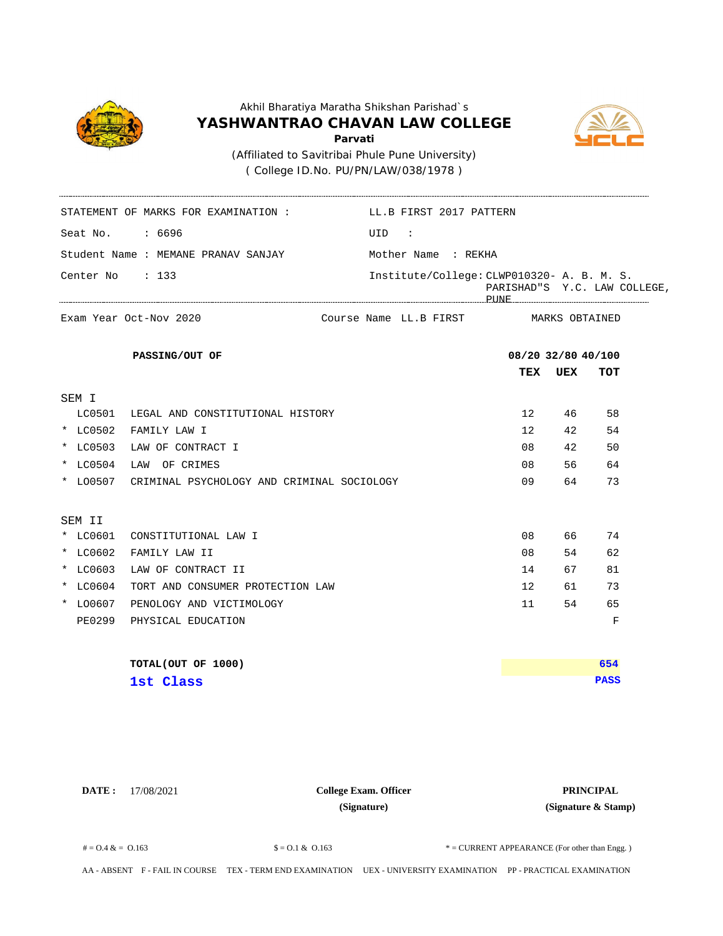

( College ID.No. PU/PN/LAW/038/1978 )



Seat No. : 6696 UID : Student Name : MEMANE PRANAV SANJAY **TEX UEX TOT** MARKS OBTAINED Center No : 133 STATEMENT OF MARKS FOR EXAMINATION : LL.B FIRST 2017 PATTERN Institute/College: CLWP010320- A. B. M. S. PARISHAD"S Y.C. LAW COLLEGE, PUNE Mother Name : REKHA Exam Year Oct-Nov 2020 **Exam Year Octom PASSING/OUT OF 08/20 32/80 40/100** Course Name LL.B FIRST SEM I LC0501 LEGAL AND CONSTITUTIONAL HISTORY 12 46 58 \* LC0502 FAMILY LAW I 12 42 54 \* LC0503 LAW OF CONTRACT I 08 42 50 \* LC0504 LAW OF CRIMES 08 56 64 \* LO0507 CRIMINAL PSYCHOLOGY AND CRIMINAL SOCIOLOGY 09 64 73 SEM II \* LC0601 CONSTITUTIONAL LAW I 08 66 74 \* LC0602 FAMILY LAW II 08 54 62 \* LC0603 LAW OF CONTRACT II 14 67 81 \* LC0604 TORT AND CONSUMER PROTECTION LAW 12 61 73 \* LO0607 PENOLOGY AND VICTIMOLOGY 11 54 65 PE0299 PHYSICAL EDUCATION F **TOTAL(OUT OF 1000) PASS 654 1st Class** 

**DATE :** 17/08/2021 **PRINCIPAL College Exam. Officer (Signature)**

**(Signature & Stamp)**

 $\text{\$} = 0.1 \& 0.163$   $\text{\$} = 0.1 \& 0.163$   $\text{\$} = \text{CURRENT}$  APPEARANCE (For other than Engg.)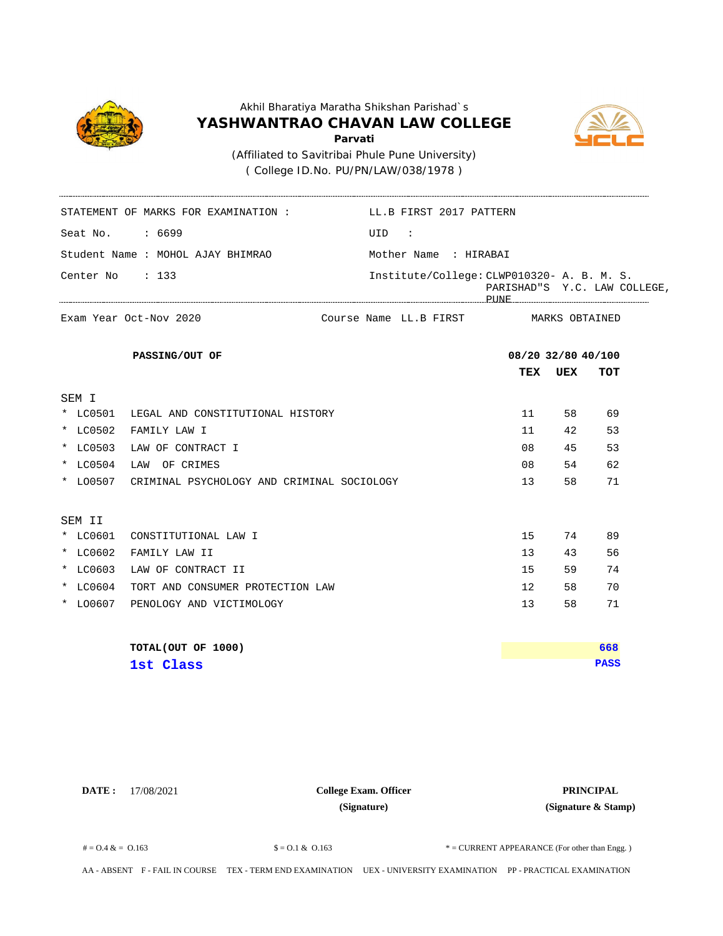

( College ID.No. PU/PN/LAW/038/1978 )

STATEMENT OF MARKS FOR EXAMINATION : LL.B FIRST 2017 PATTERN



Seat No. : 6699 UID : Student Name : MOHOL AJAY BHIMRAO **TEX UEX TOT** MARKS OBTAINED Center No : 133 Institute/College: CLWP010320- A. B. M. S. PARISHAD"S Y.C. LAW COLLEGE, PUNE Mother Name : HIRABAI Exam Year Oct-Nov 2020 **Exam Year Octom PASSING/OUT OF 08/20 32/80 40/100** Course Name LL.B FIRST SEM I \* LC0501 LEGAL AND CONSTITUTIONAL HISTORY 11 58 69 \* LC0502 FAMILY LAW I 11 42 53 \* LC0503 LAW OF CONTRACT I 08 45 53 \* LC0504 LAW OF CRIMES 08 54 62 \* LO0507 CRIMINAL PSYCHOLOGY AND CRIMINAL SOCIOLOGY 13 58 71 SEM II \* LC0601 CONSTITUTIONAL LAW I 15 74 89 \* LC0602 FAMILY LAW II 13 43 56 \* LC0603 LAW OF CONTRACT II 15 15 59 74 \* LC0604 TORT AND CONSUMER PROTECTION LAW 12 58 70 \* LO0607 PENOLOGY AND VICTIMOLOGY 13 58 71 **TOTAL(OUT OF 1000) PASS 668 1st Class** 

**DATE :** 17/08/2021 **PRINCIPAL College Exam. Officer (Signature)**

**(Signature & Stamp)**

 $\text{\$} = 0.1 \& 0.163$   $\text{\$} = 0.1 \& 0.163$   $\text{\$} = \text{CURRENT}$  APPEARANCE (For other than Engg.)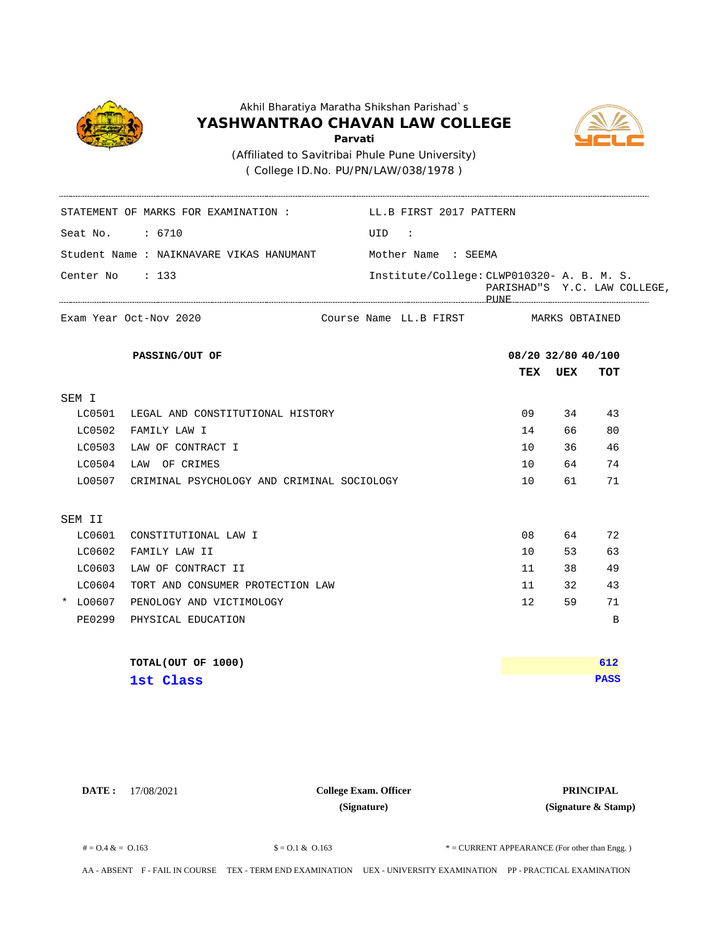

( College ID.No. PU/PN/LAW/038/1978 )

STATEMENT OF MARKS FOR EXAMINATION : LL.B FIRST 2017 PATTERN



Seat No. : 6710 UID : Student Name : NAIKNAVARE VIKAS HANUMANT **TEX UEX TOT** MARKS OBTAINED Center No : 133 Institute/College: CLWP010320- A. B. M. S. PARISHAD"S Y.C. LAW COLLEGE, PUNE Mother Name : SEEMA Exam Year Oct-Nov 2020 **Exam Year Octom PASSING/OUT OF 08/20 32/80 40/100** Course Name LL.B FIRST SEM I LC0501 LEGAL AND CONSTITUTIONAL HISTORY 09 34 43 LC0502 FAMILY LAW I 14 66 80 LC0503 LAW OF CONTRACT I 10 36 46 LC0504 LAW OF CRIMES 10 64 74 LO0507 CRIMINAL PSYCHOLOGY AND CRIMINAL SOCIOLOGY 10 61 71 SEM II  $\verb|LC0601|  COMSTITUTIONAL LAW I$  08 64 72 LC0602 FAMILY LAW II 10 53 63 LC0603 LAW OF CONTRACT II 120 and 200 and 200 and 200 and 200 and 200 and 200 and 200 and 200 and 200 and 200 LC0604 TORT AND CONSUMER PROTECTION LAW 11 32 43 \* LO0607 PENOLOGY AND VICTIMOLOGY 12 59 71 PE0299 PHYSICAL EDUCATION B **TOTAL(OUT OF 1000) PASS 612 1st Class** 

**DATE :** 17/08/2021 **PRINCIPAL College Exam. Officer (Signature)**

**(Signature & Stamp)**

 $\text{\$} = 0.1 \& 0.163$   $\text{\$} = 0.1 \& 0.163$   $\text{\$} = \text{CURRENT}$  APPEARANCE (For other than Engg.)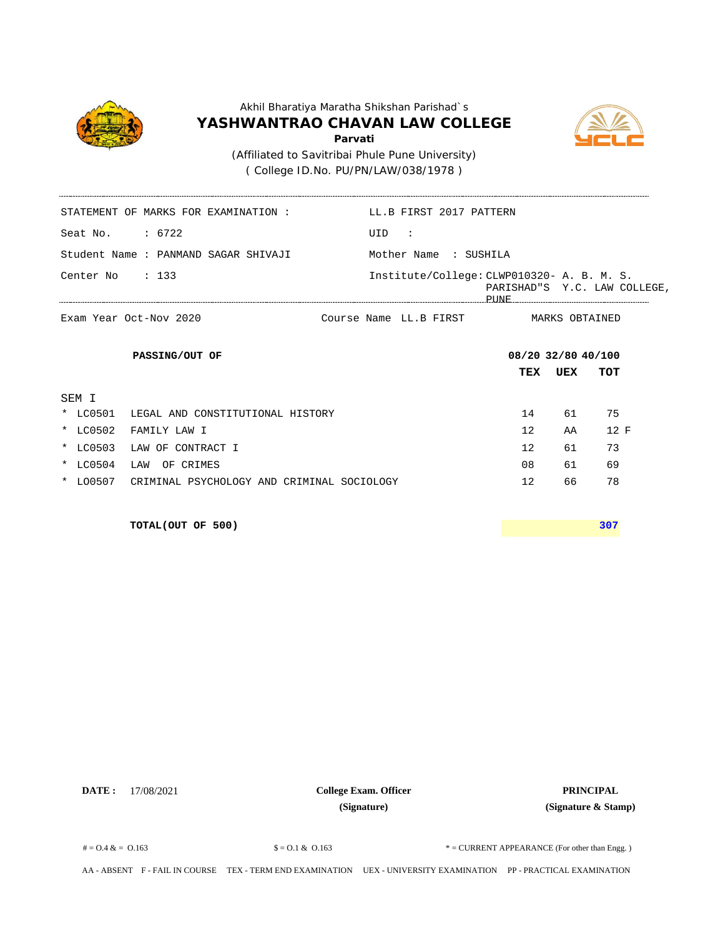



( College ID.No. PU/PN/LAW/038/1978 )

\_\_\_\_\_\_\_\_\_\_\_\_\_\_\_\_\_\_\_\_

| LL.B FIRST 2017 PATTERN                                                                                                                                                                                                                                                                                      |
|--------------------------------------------------------------------------------------------------------------------------------------------------------------------------------------------------------------------------------------------------------------------------------------------------------------|
| UID :                                                                                                                                                                                                                                                                                                        |
| Mother Name : SUSHILA                                                                                                                                                                                                                                                                                        |
| Institute/College: CLWP010320- A. B. M. S.<br>PARISHAD"S Y.C. LAW COLLEGE,<br>PHINE THE CONTROL CONTROL CONTROL CONTROL CONTROL CONTROL CONTROL CONTROL CONTROL CONTROL CONTROL CONTROL CONTROL CONTROL CONTROL CONTROL CONTROL CONTROL CONTROL CONTROL CONTROL CONTROL CONTROL CONTROL CONTROL CONTROL CONT |
| Course Name LL.B FIRST       MARKS OBTAINED                                                                                                                                                                                                                                                                  |
| 08/20 32/80 40/100                                                                                                                                                                                                                                                                                           |
| TEX<br>UEX<br>TOT                                                                                                                                                                                                                                                                                            |
|                                                                                                                                                                                                                                                                                                              |
| 75<br>14<br>61                                                                                                                                                                                                                                                                                               |
| 12<br>12 F<br>AA                                                                                                                                                                                                                                                                                             |
| 12<br>73<br>61                                                                                                                                                                                                                                                                                               |
| 08<br>69<br>61                                                                                                                                                                                                                                                                                               |
| * LO0507 CRIMINAL PSYCHOLOGY AND CRIMINAL SOCIOLOGY<br>12<br>78<br>66                                                                                                                                                                                                                                        |
|                                                                                                                                                                                                                                                                                                              |

**TOTAL(OUT OF 500) 307**

**DATE :** 17/08/2021 **PRINCIPAL College Exam. Officer (Signature)**

 $\text{\$} = 0.1 \& 0.163$   $\text{\$} = 0.1 \& 0.163$   $\text{\$} = \text{CURENT}$  APPEARANCE (For other than Engg.)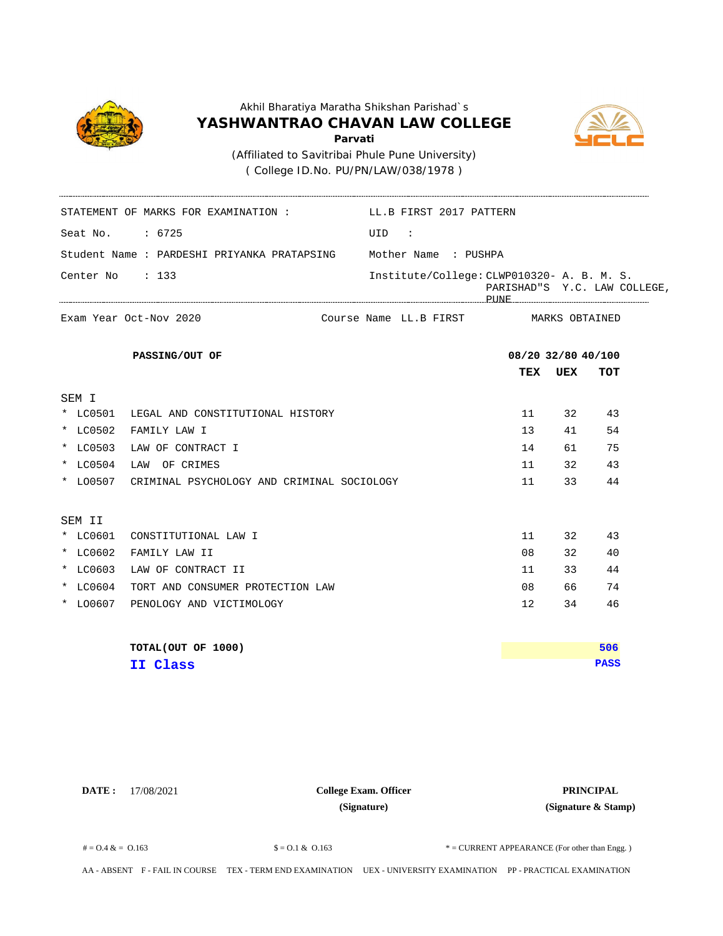

( College ID.No. PU/PN/LAW/038/1978 )

STATEMENT OF MARKS FOR EXAMINATION : LL.B FIRST 2017 PATTERN



Seat No. : 6725 UID : Student Name : PARDESHI PRIYANKA PRATAPSING **TEX UEX TOT** MARKS OBTAINED Center No : 133 Institute/College: CLWP010320- A. B. M. S. PARISHAD"S Y.C. LAW COLLEGE, PUNE Mother Name : PUSHPA Exam Year Oct-Nov 2020 **Exam Year Octom PASSING/OUT OF 08/20 32/80 40/100** Course Name LL.B FIRST SEM I \* LC0501 LEGAL AND CONSTITUTIONAL HISTORY 11 32 43 \* LC0502 FAMILY LAW I 13 41 54 \* LC0503 LAW OF CONTRACT I 14 61 75 \* LC0504 LAW OF CRIMES 11 32 43 \* LO0507 CRIMINAL PSYCHOLOGY AND CRIMINAL SOCIOLOGY 11 33 44 SEM II \* LC0601 CONSTITUTIONAL LAW I 11 32 43 \* LC0602 FAMILY LAW II 08 32 40 \* LC0603 LAW OF CONTRACT II 12 a 244 \* LC0604 TORT AND CONSUMER PROTECTION LAW 08 66 74 \* LO0607 PENOLOGY AND VICTIMOLOGY 12 34 46 **TOTAL(OUT OF 1000) PASS 506 II Class**

**DATE :** 17/08/2021 **PRINCIPAL College Exam. Officer (Signature)**

**(Signature & Stamp)**

 $\text{\$} = 0.1 \& 0.163$   $\text{\$} = 0.1 \& 0.163$   $\text{\$} = \text{CURRENT}$  APPEARANCE (For other than Engg.)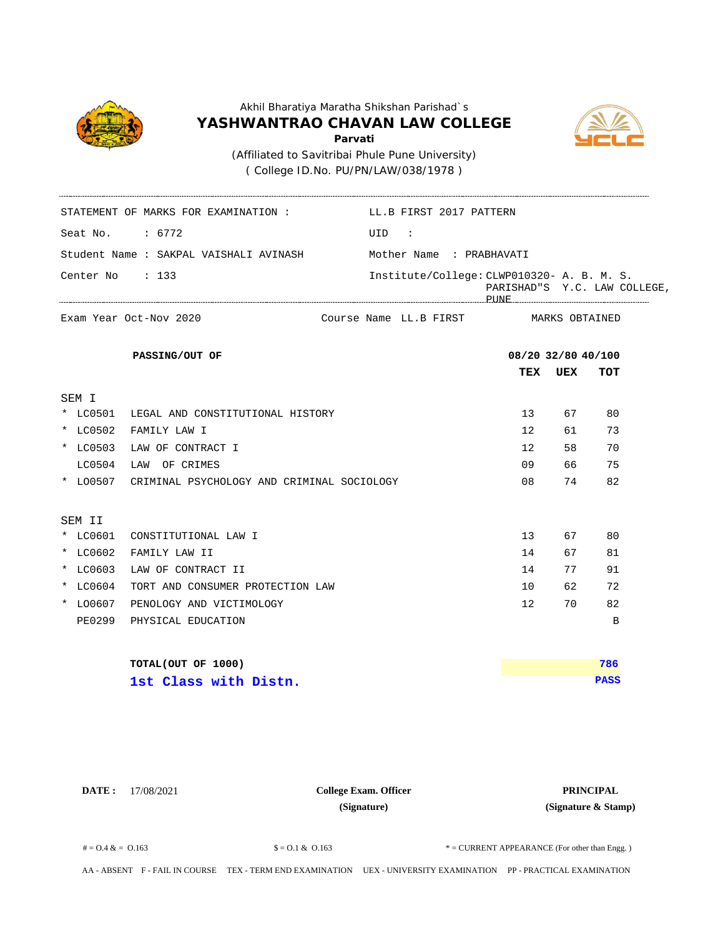

( College ID.No. PU/PN/LAW/038/1978 )



Seat No. : 6772 UID : Student Name : SAKPAL VAISHALI AVINASH **TEX UEX TOT** MARKS OBTAINED Center No : 133 STATEMENT OF MARKS FOR EXAMINATION : LL.B FIRST 2017 PATTERN Institute/College: CLWP010320- A. B. M. S. PARISHAD"S Y.C. LAW COLLEGE, PUNE Mother Name : PRABHAVATI Exam Year Oct-Nov 2020 **Exam Year Octom PASSING/OUT OF 08/20 32/80 40/100** Course Name LL.B FIRST SEM I \* LC0501 LEGAL AND CONSTITUTIONAL HISTORY 13 67 80 \* LC0502 FAMILY LAW I 12 61 73 \* LC0503 LAW OF CONTRACT I 12 58 70 LC0504 LAW OF CRIMES 09 66 75 \* LO0507 CRIMINAL PSYCHOLOGY AND CRIMINAL SOCIOLOGY 08 74 82 SEM II \* LC0601 CONSTITUTIONAL LAW I 13 67 80 \* LC0602 FAMILY LAW II 14 67 81 \* LC0603 LAW OF CONTRACT II 14 77 91 \* LC0604 TORT AND CONSUMER PROTECTION LAW 10 62 72 \* LO0607 PENOLOGY AND VICTIMOLOGY 12 70 82 PE0299 PHYSICAL EDUCATION B **TOTAL(OUT OF 1000) PASS 786 1st Class with Distn.**

**DATE :** 17/08/2021 **PRINCIPAL College Exam. Officer (Signature)**

**(Signature & Stamp)**

 $\text{\$} = 0.1 \& 0.163$   $\text{\$} = 0.1 \& 0.163$   $\text{\$} = \text{CURRENT}$  APPEARANCE (For other than Engg.)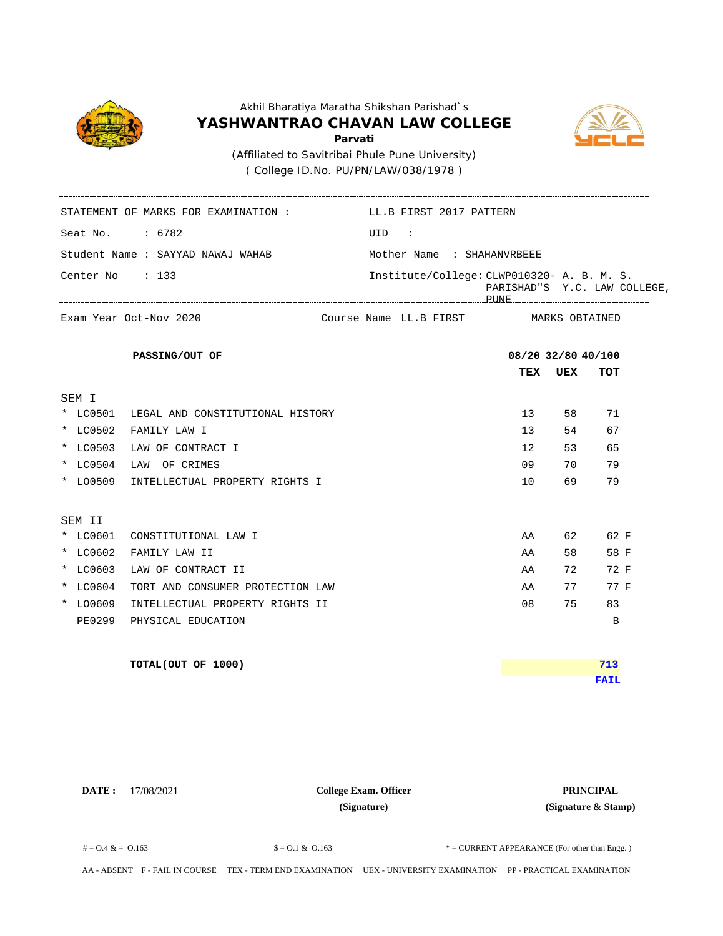

( College ID.No. PU/PN/LAW/038/1978 )

STATEMENT OF MARKS FOR EXAMINATION : LL.B FIRST 2017 PATTERN



Seat No. : 6782 UID : Student Name : SAYYAD NAWAJ WAHAB **TEX UEX TOT** MARKS OBTAINED Center No : 133 Institute/College: CLWP010320- A. B. M. S. PARISHAD"S Y.C. LAW COLLEGE, PUNE Mother Name : SHAHANVRBEEE Exam Year Oct-Nov 2020 **Exam Year Octom PASSING/OUT OF 08/20 32/80 40/100** Course Name LL.B FIRST SEM I \* LC0501 LEGAL AND CONSTITUTIONAL HISTORY 13 58 71 \* LC0502 FAMILY LAW I 13 54 67 \* LC0503 LAW OF CONTRACT I 12 53 65 \* LC0504 LAW OF CRIMES 09 70 79 \* LO0509 INTELLECTUAL PROPERTY RIGHTS I 10 69 79 SEM II \* LC0601 CONSTITUTIONAL LAW I AN ARTIONAL MARKET AND SOLUTION AAN 462 62 F \* LC0602 FAMILY LAW II AA 58 58 F \* LC0603 LAW OF CONTRACT II ARR 2 72 F \* LC0604 TORT AND CONSUMER PROTECTION LAW **AREA 27 19 FM ABO** 27 FM FM AA 77 TR \* LO0609 INTELLECTUAL PROPERTY RIGHTS II 08 75 83 PE0299 PHYSICAL EDUCATION B **TOTAL(OUT OF 1000) FAIL 713**

**DATE :** 17/08/2021 **PRINCIPAL College Exam. Officer (Signature)**

**(Signature & Stamp)**

 $\text{\$} = 0.1 \& 0.163$   $\text{\$} = 0.1 \& 0.163$   $\text{\$} = \text{CURRENT}$  APPEARANCE (For other than Engg.)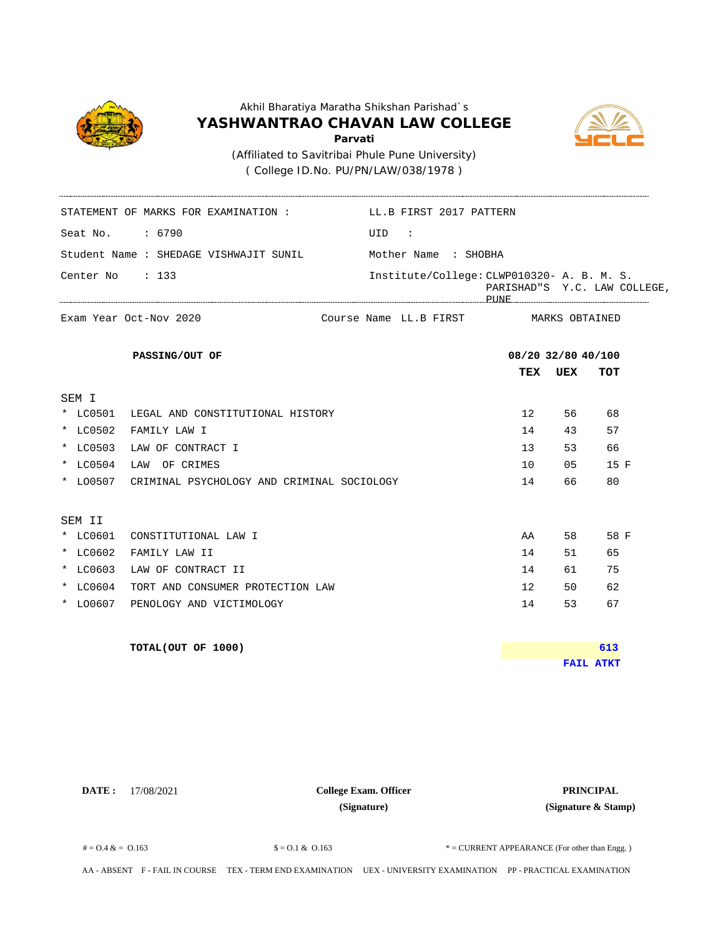

( College ID.No. PU/PN/LAW/038/1978 )

STATEMENT OF MARKS FOR EXAMINATION : LL.B FIRST 2017 PATTERN



Seat No. : 6790 UID : Student Name : SHEDAGE VISHWAJIT SUNIL **TEX UEX TOT** MARKS OBTAINED Center No : 133 Institute/College: CLWP010320- A. B. M. S. PARISHAD"S Y.C. LAW COLLEGE, PUNE Mother Name : SHOBHA Exam Year Oct-Nov 2020 **Exam Year Octom PASSING/OUT OF 08/20 32/80 40/100** Course Name LL.B FIRST SEM I \* LC0501 LEGAL AND CONSTITUTIONAL HISTORY 12 56 68 \* LC0502 FAMILY LAW I 14 43 57 \* LC0503 LAW OF CONTRACT I 13 53 66 \* LC0504 LAW OF CRIMES 10 10 05 15 F \* LO0507 CRIMINAL PSYCHOLOGY AND CRIMINAL SOCIOLOGY 14 66 80 SEM II \* LC0601 CONSTITUTIONAL LAW I AN ARTIONAL SERVICE SERVICE SERVICE SERVICE SERVICE SERVICE SERVICE SERVICE SERVICE SERVICE SERVICE SERVICE SERVICE SERVICE SERVICE SERVICE SERVICE SERVICE SERVICE SERVICE SERVICE SERVICE SERV \* LC0602 FAMILY LAW II 14 51 65 \* LC0603 LAW OF CONTRACT II 14 61 75 \* LC0604 TORT AND CONSUMER PROTECTION LAW 12 50 62 \* LO0607 PENOLOGY AND VICTIMOLOGY 14 53 67 **TOTAL(OUT OF 1000) FAIL ATKT 613**

**DATE :** 17/08/2021 **PRINCIPAL College Exam. Officer (Signature)**

**(Signature & Stamp)**

 $\text{\$} = 0.1 \& 0.163$   $\text{\$} = 0.1 \& 0.163$   $\text{\$} = \text{CURRENT}$  APPEARANCE (For other than Engg.)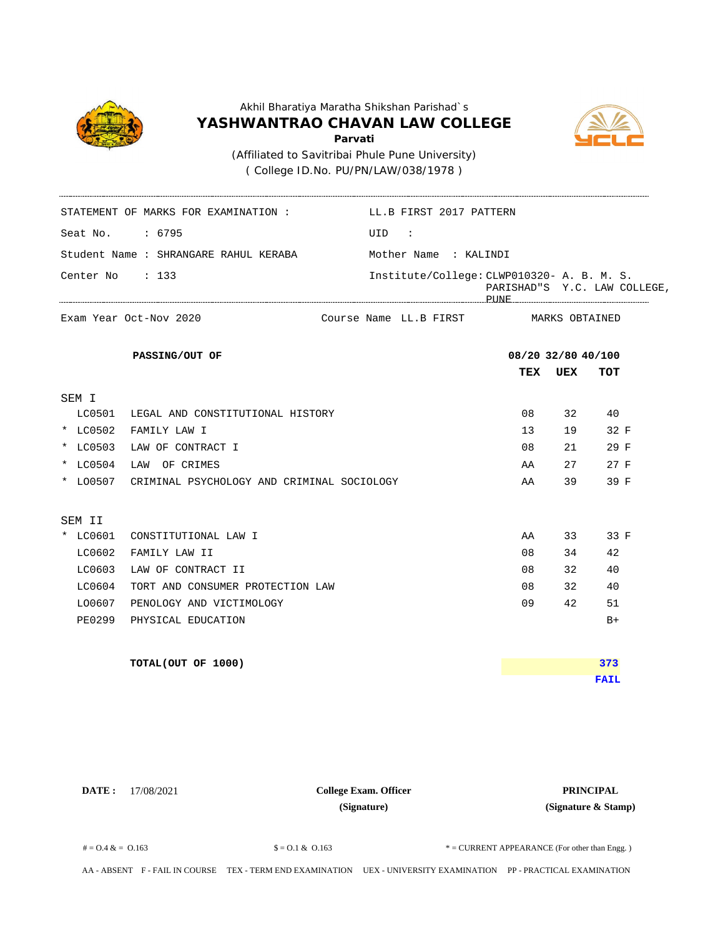

( College ID.No. PU/PN/LAW/038/1978 )



Seat No. : 6795 UID : Student Name : SHRANGARE RAHUL KERABA **TEX UEX TOT** MARKS OBTAINED Center No : 133 STATEMENT OF MARKS FOR EXAMINATION : LL.B FIRST 2017 PATTERN Institute/College: CLWP010320- A. B. M. S. PARISHAD"S Y.C. LAW COLLEGE, PUNE Mother Name : KALINDI Exam Year Oct-Nov 2020 **Exam Year Octom PASSING/OUT OF 08/20 32/80 40/100** Course Name LL.B FIRST SEM I LC0501 LEGAL AND CONSTITUTIONAL HISTORY 08 32 40 \* LC0502 FAMILY LAW I 13 19 32 F \* LC0503 LAW OF CONTRACT I 08 21 29 F \* LC0504 LAW OF CRIMES AA 27 27 F \* LO0507 CRIMINAL PSYCHOLOGY AND CRIMINAL SOCIOLOGY AA 39 39 F SEM II \* LC0601 CONSTITUTIONAL LAW I AN ARTIONAL HOW I AA 33 33 F LC0602 FAMILY LAW II 08 34 42 LC0603 LAW OF CONTRACT II 08 32 40 LC0604 TORT AND CONSUMER PROTECTION LAW 08 32 40 LO0607 PENOLOGY AND VICTIMOLOGY 09 42 51 PE0299 PHYSICAL EDUCATION B+ **TOTAL(OUT OF 1000) FAIL 373**

**DATE :** 17/08/2021 **PRINCIPAL College Exam. Officer (Signature)**

**(Signature & Stamp)**

 $\text{\$} = 0.1 \& 0.163$   $\text{\$} = 0.1 \& 0.163$   $\text{\$} = \text{CURRENT}$  APPEARANCE (For other than Engg.)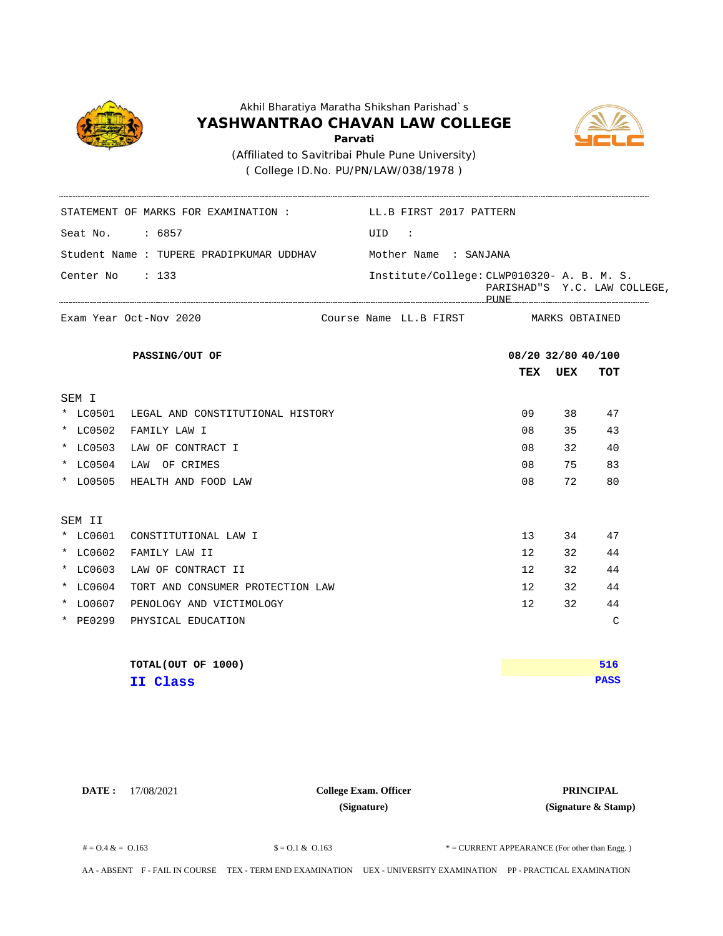

( College ID.No. PU/PN/LAW/038/1978 )

STATEMENT OF MARKS FOR EXAMINATION : LL.B FIRST 2017 PATTERN



Seat No. : 6857 UID : Student Name : TUPERE PRADIPKUMAR UDDHAV **TEX UEX TOT** MARKS OBTAINED Center No : 133 Institute/College: CLWP010320- A. B. M. S. PARISHAD"S Y.C. LAW COLLEGE, PUNE Mother Name : SANJANA Exam Year Oct-Nov 2020 **Exam Year Octom PASSING/OUT OF 08/20 32/80 40/100** Course Name LL.B FIRST SEM I \* LC0501 LEGAL AND CONSTITUTIONAL HISTORY 09 38 47 \* LC0502 FAMILY LAW I 08 35 43 \* LC0503 LAW OF CONTRACT I 08 32 40 \* LC0504 LAW OF CRIMES 08 75 83 \* LO0505 HEALTH AND FOOD LAW 08 72 80 SEM II \* LC0601 CONSTITUTIONAL LAW I 13 34 47 \* LC0602 FAMILY LAW II 12 32 44 \* LC0603 LAW OF CONTRACT II 12 32 44 \* LC0604 TORT AND CONSUMER PROTECTION LAW 12 32 44 \* LO0607 PENOLOGY AND VICTIMOLOGY 12 32 44 \* PE0299 PHYSICAL EDUCATION C **TOTAL(OUT OF 1000) PASS 516 II Class**

**DATE :** 17/08/2021 **PRINCIPAL College Exam. Officer (Signature)**

**(Signature & Stamp)**

 $\text{\$} = 0.1 \& 0.163$   $\text{\$} = 0.1 \& 0.163$   $\text{\$} = \text{CURRENT}$  APPEARANCE (For other than Engg.)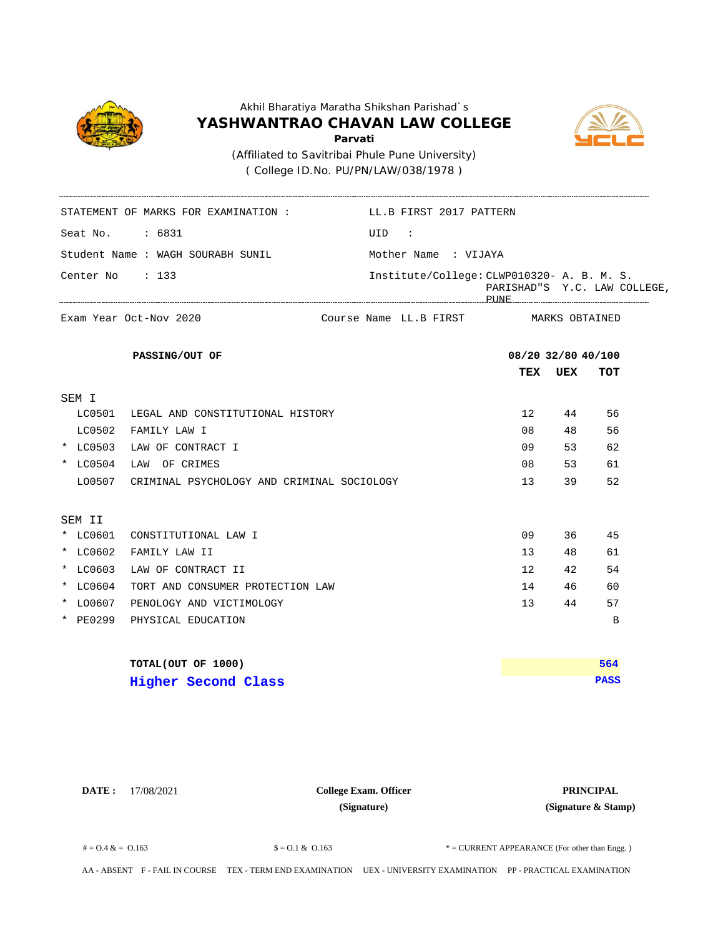

( College ID.No. PU/PN/LAW/038/1978 )

STATEMENT OF MARKS FOR EXAMINATION : LL.B FIRST 2017 PATTERN



Seat No.  $\qquad \qquad : 6831$  UID : Student Name : WAGH SOURABH SUNIL **TEX UEX TOT** MARKS OBTAINED Center No : 133 Institute/College: CLWP010320- A. B. M. S. PARISHAD"S Y.C. LAW COLLEGE, PUNE Mother Name : VIJAYA Exam Year Oct-Nov 2020 **Exam Year Octom PASSING/OUT OF 08/20 32/80 40/100** Course Name LL.B FIRST SEM I LC0501 LEGAL AND CONSTITUTIONAL HISTORY 12 44 56 LC0502 FAMILY LAW I 08 48 56 \* LC0503 LAW OF CONTRACT I 09 53 62 \* LC0504 LAW OF CRIMES 08 53 61 LO0507 CRIMINAL PSYCHOLOGY AND CRIMINAL SOCIOLOGY 13 39 52 SEM II \* LC0601 CONSTITUTIONAL LAW I 09 36 45 \* LC0602 FAMILY LAW II 13 48 61 \* LC0603 LAW OF CONTRACT II 12 42 54 \* LC0604 TORT AND CONSUMER PROTECTION LAW 14 14 46 60 \* LO0607 PENOLOGY AND VICTIMOLOGY 13 44 57 \* PE0299 PHYSICAL EDUCATION B **TOTAL(OUT OF 1000) PASS 564 Higher Second Class**

**DATE :** 17/08/2021 **PRINCIPAL College Exam. Officer (Signature)**

**(Signature & Stamp)**

 $\text{\$} = 0.1 \& 0.163$   $\text{\$} = 0.1 \& 0.163$   $\text{\$} = \text{CURRENT}$  APPEARANCE (For other than Engg.)